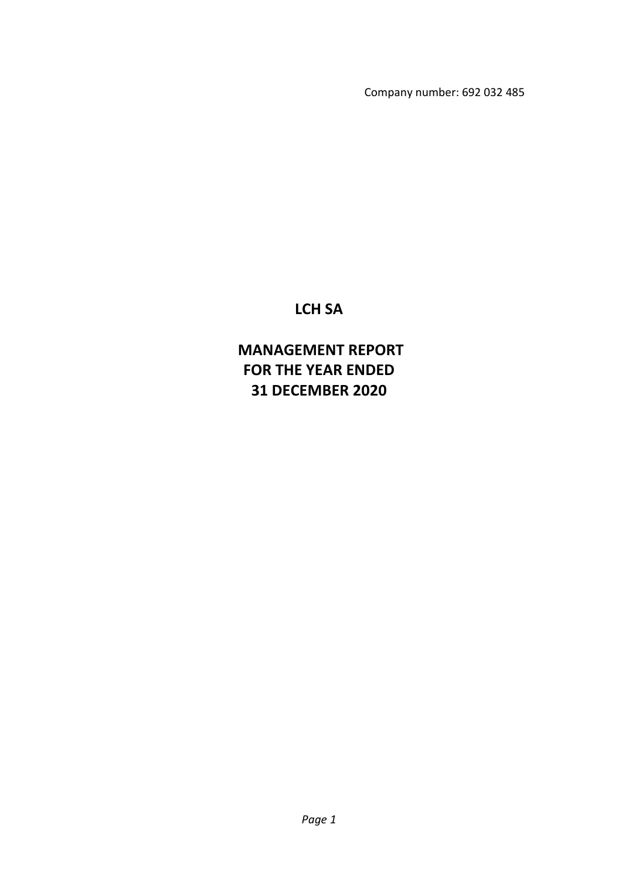Company number: 692 032 485

# **LCH SA**

# **MANAGEMENT REPORT FOR THE YEAR ENDED 31 DECEMBER 2020**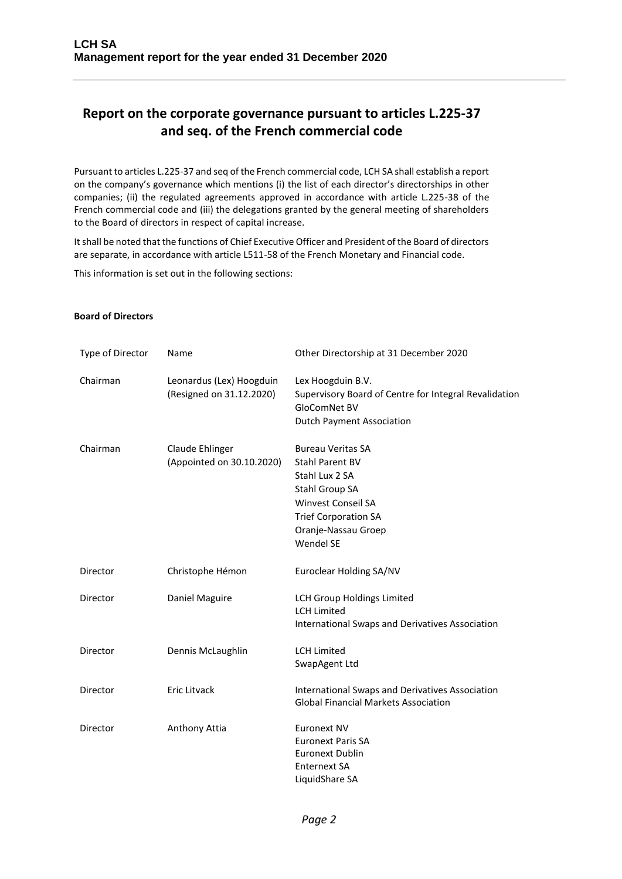## **Report on the corporate governance pursuant to articles L.225-37 and seq. of the French commercial code**

Pursuant to articles L.225-37 and seq of the French commercial code, LCH SA shall establish a report on the company's governance which mentions (i) the list of each director's directorships in other companies; (ii) the regulated agreements approved in accordance with article L.225-38 of the French commercial code and (iii) the delegations granted by the general meeting of shareholders to the Board of directors in respect of capital increase.

It shall be noted that the functions of Chief Executive Officer and President of the Board of directors are separate, in accordance with article L511-58 of the French Monetary and Financial code.

This information is set out in the following sections:

#### **Board of Directors**

| Type of Director | Name                                                 | Other Directorship at 31 December 2020                                                                                                                                          |
|------------------|------------------------------------------------------|---------------------------------------------------------------------------------------------------------------------------------------------------------------------------------|
| Chairman         | Leonardus (Lex) Hoogduin<br>(Resigned on 31.12.2020) | Lex Hoogduin B.V.<br>Supervisory Board of Centre for Integral Revalidation<br>GloComNet BV<br><b>Dutch Payment Association</b>                                                  |
| Chairman         | Claude Ehlinger<br>(Appointed on 30.10.2020)         | <b>Bureau Veritas SA</b><br>Stahl Parent BV<br>Stahl Lux 2 SA<br>Stahl Group SA<br><b>Winvest Conseil SA</b><br><b>Trief Corporation SA</b><br>Oranje-Nassau Groep<br>Wendel SE |
| Director         | Christophe Hémon                                     | Euroclear Holding SA/NV                                                                                                                                                         |
| Director         | Daniel Maguire                                       | <b>LCH Group Holdings Limited</b><br><b>LCH Limited</b><br>International Swaps and Derivatives Association                                                                      |
| Director         | Dennis McLaughlin                                    | <b>LCH Limited</b><br>SwapAgent Ltd                                                                                                                                             |
| Director         | <b>Eric Litvack</b>                                  | International Swaps and Derivatives Association<br><b>Global Financial Markets Association</b>                                                                                  |
| Director         | Anthony Attia                                        | <b>Euronext NV</b><br><b>Euronext Paris SA</b><br><b>Euronext Dublin</b><br><b>Enternext SA</b><br>LiquidShare SA                                                               |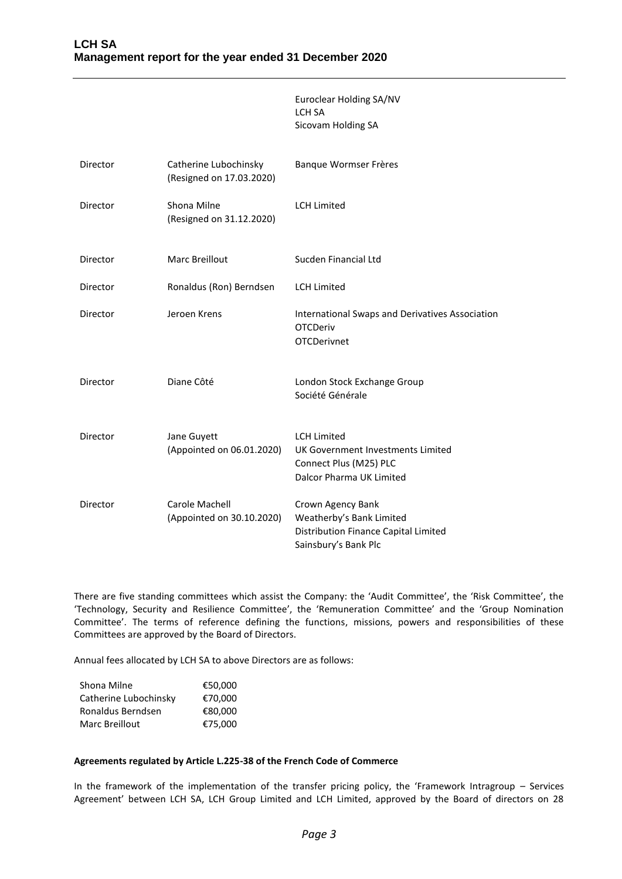|          |                                                   | Euroclear Holding SA/NV<br>LCH SA<br>Sicovam Holding SA                                                       |
|----------|---------------------------------------------------|---------------------------------------------------------------------------------------------------------------|
| Director | Catherine Lubochinsky<br>(Resigned on 17.03.2020) | Banque Wormser Frères                                                                                         |
| Director | Shona Milne<br>(Resigned on 31.12.2020)           | <b>LCH Limited</b>                                                                                            |
| Director | <b>Marc Breillout</b>                             | Sucden Financial Ltd                                                                                          |
| Director | Ronaldus (Ron) Berndsen                           | <b>LCH Limited</b>                                                                                            |
| Director | Jeroen Krens                                      | International Swaps and Derivatives Association<br><b>OTCDeriv</b><br><b>OTCDerivnet</b>                      |
| Director | Diane Côté                                        | London Stock Exchange Group<br>Société Générale                                                               |
| Director | Jane Guyett<br>(Appointed on 06.01.2020)          | <b>LCH Limited</b><br>UK Government Investments Limited<br>Connect Plus (M25) PLC<br>Dalcor Pharma UK Limited |
| Director | Carole Machell<br>(Appointed on 30.10.2020)       | Crown Agency Bank<br>Weatherby's Bank Limited<br>Distribution Finance Capital Limited<br>Sainsbury's Bank Plc |

There are five standing committees which assist the Company: the 'Audit Committee', the 'Risk Committee', the 'Technology, Security and Resilience Committee', the 'Remuneration Committee' and the 'Group Nomination Committee'. The terms of reference defining the functions, missions, powers and responsibilities of these Committees are approved by the Board of Directors.

Annual fees allocated by LCH SA to above Directors are as follows:

| Shona Milne           | €50,000 |
|-----------------------|---------|
| Catherine Lubochinsky | €70.000 |
| Ronaldus Berndsen     | €80.000 |
| Marc Breillout        | €75.000 |

## **Agreements regulated by Article L.225-38 of the French Code of Commerce**

In the framework of the implementation of the transfer pricing policy, the 'Framework Intragroup – Services Agreement' between LCH SA, LCH Group Limited and LCH Limited, approved by the Board of directors on 28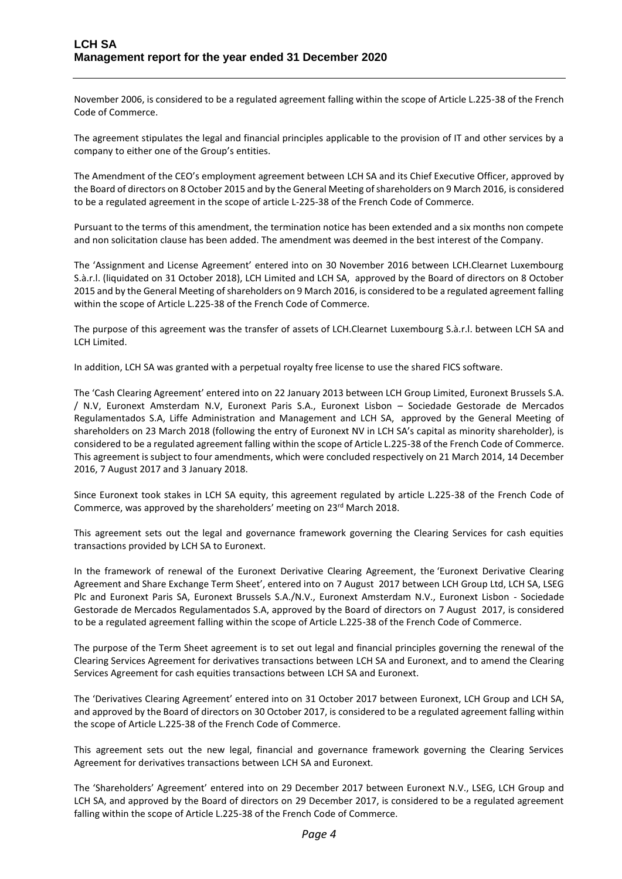November 2006, is considered to be a regulated agreement falling within the scope of Article L.225-38 of the French Code of Commerce.

The agreement stipulates the legal and financial principles applicable to the provision of IT and other services by a company to either one of the Group's entities.

The Amendment of the CEO's employment agreement between LCH SA and its Chief Executive Officer, approved by the Board of directors on 8 October 2015 and by the General Meeting of shareholders on 9 March 2016, is considered to be a regulated agreement in the scope of article L-225-38 of the French Code of Commerce.

Pursuant to the terms of this amendment, the termination notice has been extended and a six months non compete and non solicitation clause has been added. The amendment was deemed in the best interest of the Company.

The 'Assignment and License Agreement' entered into on 30 November 2016 between LCH.Clearnet Luxembourg S.à.r.l. (liquidated on 31 October 2018), LCH Limited and LCH SA, approved by the Board of directors on 8 October 2015 and by the General Meeting of shareholders on 9 March 2016, is considered to be a regulated agreement falling within the scope of Article L.225-38 of the French Code of Commerce.

The purpose of this agreement was the transfer of assets of LCH.Clearnet Luxembourg S.à.r.l. between LCH SA and LCH Limited.

In addition, LCH SA was granted with a perpetual royalty free license to use the shared FICS software.

The 'Cash Clearing Agreement' entered into on 22 January 2013 between LCH Group Limited, Euronext Brussels S.A. / N.V, Euronext Amsterdam N.V, Euronext Paris S.A., Euronext Lisbon – Sociedade Gestorade de Mercados Regulamentados S.A, Liffe Administration and Management and LCH SA, approved by the General Meeting of shareholders on 23 March 2018 (following the entry of Euronext NV in LCH SA's capital as minority shareholder), is considered to be a regulated agreement falling within the scope of Article L.225-38 of the French Code of Commerce. This agreement is subject to four amendments, which were concluded respectively on 21 March 2014, 14 December 2016, 7 August 2017 and 3 January 2018.

Since Euronext took stakes in LCH SA equity, this agreement regulated by article L.225-38 of the French Code of Commerce, was approved by the shareholders' meeting on 23rd March 2018.

This agreement sets out the legal and governance framework governing the Clearing Services for cash equities transactions provided by LCH SA to Euronext.

In the framework of renewal of the Euronext Derivative Clearing Agreement, the 'Euronext Derivative Clearing Agreement and Share Exchange Term Sheet', entered into on 7 August 2017 between LCH Group Ltd, LCH SA, LSEG Plc and Euronext Paris SA, Euronext Brussels S.A./N.V., Euronext Amsterdam N.V., Euronext Lisbon - Sociedade Gestorade de Mercados Regulamentados S.A, approved by the Board of directors on 7 August 2017, is considered to be a regulated agreement falling within the scope of Article L.225-38 of the French Code of Commerce.

The purpose of the Term Sheet agreement is to set out legal and financial principles governing the renewal of the Clearing Services Agreement for derivatives transactions between LCH SA and Euronext, and to amend the Clearing Services Agreement for cash equities transactions between LCH SA and Euronext.

The 'Derivatives Clearing Agreement' entered into on 31 October 2017 between Euronext, LCH Group and LCH SA, and approved by the Board of directors on 30 October 2017, is considered to be a regulated agreement falling within the scope of Article L.225-38 of the French Code of Commerce.

This agreement sets out the new legal, financial and governance framework governing the Clearing Services Agreement for derivatives transactions between LCH SA and Euronext.

The 'Shareholders' Agreement' entered into on 29 December 2017 between Euronext N.V., LSEG, LCH Group and LCH SA, and approved by the Board of directors on 29 December 2017, is considered to be a regulated agreement falling within the scope of Article L.225-38 of the French Code of Commerce.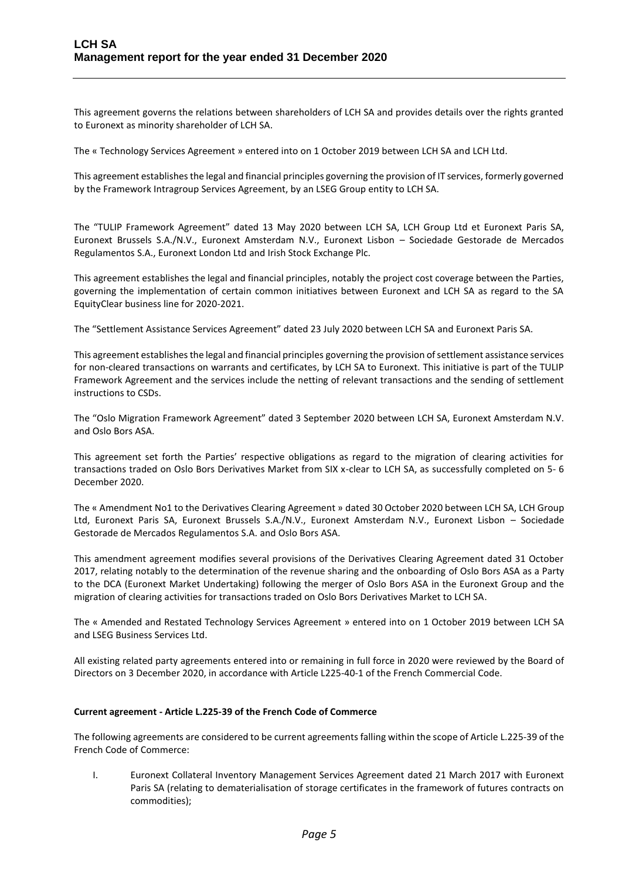This agreement governs the relations between shareholders of LCH SA and provides details over the rights granted to Euronext as minority shareholder of LCH SA.

The « Technology Services Agreement » entered into on 1 October 2019 between LCH SA and LCH Ltd.

This agreement establishes the legal and financial principles governing the provision of IT services, formerly governed by the Framework Intragroup Services Agreement, by an LSEG Group entity to LCH SA.

The "TULIP Framework Agreement" dated 13 May 2020 between LCH SA, LCH Group Ltd et Euronext Paris SA, Euronext Brussels S.A./N.V., Euronext Amsterdam N.V., Euronext Lisbon – Sociedade Gestorade de Mercados Regulamentos S.A., Euronext London Ltd and Irish Stock Exchange Plc.

This agreement establishes the legal and financial principles, notably the project cost coverage between the Parties, governing the implementation of certain common initiatives between Euronext and LCH SA as regard to the SA EquityClear business line for 2020-2021.

The "Settlement Assistance Services Agreement" dated 23 July 2020 between LCH SA and Euronext Paris SA.

This agreement establishes the legal and financial principles governing the provision of settlement assistance services for non-cleared transactions on warrants and certificates, by LCH SA to Euronext. This initiative is part of the TULIP Framework Agreement and the services include the netting of relevant transactions and the sending of settlement instructions to CSDs.

The "Oslo Migration Framework Agreement" dated 3 September 2020 between LCH SA, Euronext Amsterdam N.V. and Oslo Bors ASA.

This agreement set forth the Parties' respective obligations as regard to the migration of clearing activities for transactions traded on Oslo Bors Derivatives Market from SIX x-clear to LCH SA, as successfully completed on 5- 6 December 2020.

The « Amendment No1 to the Derivatives Clearing Agreement » dated 30 October 2020 between LCH SA, LCH Group Ltd, Euronext Paris SA, Euronext Brussels S.A./N.V., Euronext Amsterdam N.V., Euronext Lisbon – Sociedade Gestorade de Mercados Regulamentos S.A. and Oslo Bors ASA.

This amendment agreement modifies several provisions of the Derivatives Clearing Agreement dated 31 October 2017, relating notably to the determination of the revenue sharing and the onboarding of Oslo Bors ASA as a Party to the DCA (Euronext Market Undertaking) following the merger of Oslo Bors ASA in the Euronext Group and the migration of clearing activities for transactions traded on Oslo Bors Derivatives Market to LCH SA.

The « Amended and Restated Technology Services Agreement » entered into on 1 October 2019 between LCH SA and LSEG Business Services Ltd.

All existing related party agreements entered into or remaining in full force in 2020 were reviewed by the Board of Directors on 3 December 2020, in accordance with Article L225-40-1 of the French Commercial Code.

## **Current agreement - Article L.225-39 of the French Code of Commerce**

The following agreements are considered to be current agreements falling within the scope of Article L.225-39 of the French Code of Commerce:

I. Euronext Collateral Inventory Management Services Agreement dated 21 March 2017 with Euronext Paris SA (relating to dematerialisation of storage certificates in the framework of futures contracts on commodities);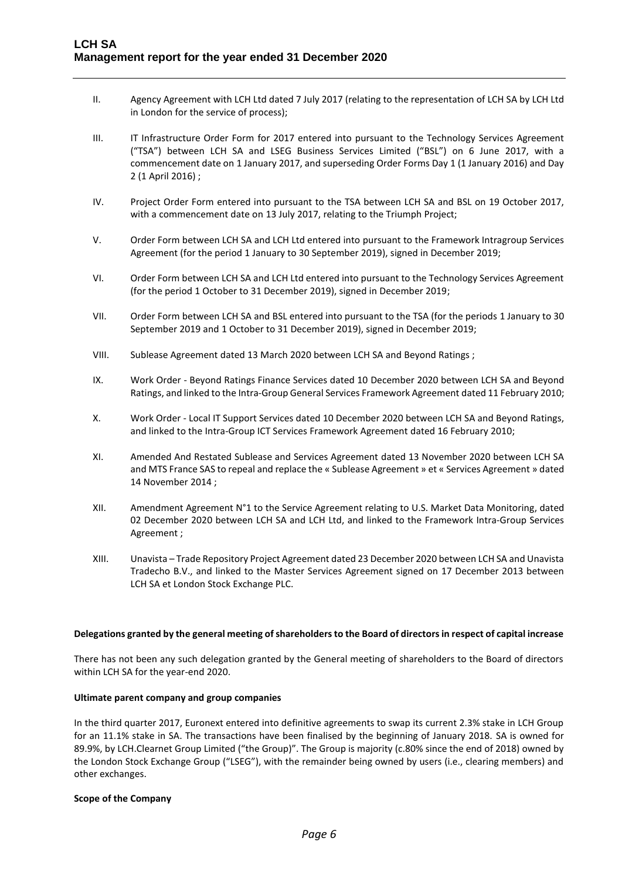- II. Agency Agreement with LCH Ltd dated 7 July 2017 (relating to the representation of LCH SA by LCH Ltd in London for the service of process);
- III. IT Infrastructure Order Form for 2017 entered into pursuant to the Technology Services Agreement ("TSA") between LCH SA and LSEG Business Services Limited ("BSL") on 6 June 2017, with a commencement date on 1 January 2017, and superseding Order Forms Day 1 (1 January 2016) and Day 2 (1 April 2016) ;
- IV. Project Order Form entered into pursuant to the TSA between LCH SA and BSL on 19 October 2017, with a commencement date on 13 July 2017, relating to the Triumph Project;
- V. Order Form between LCH SA and LCH Ltd entered into pursuant to the Framework Intragroup Services Agreement (for the period 1 January to 30 September 2019), signed in December 2019;
- VI. Order Form between LCH SA and LCH Ltd entered into pursuant to the Technology Services Agreement (for the period 1 October to 31 December 2019), signed in December 2019;
- VII. Order Form between LCH SA and BSL entered into pursuant to the TSA (for the periods 1 January to 30 September 2019 and 1 October to 31 December 2019), signed in December 2019;
- VIII. Sublease Agreement dated 13 March 2020 between LCH SA and Beyond Ratings ;
- IX. Work Order Beyond Ratings Finance Services dated 10 December 2020 between LCH SA and Beyond Ratings, and linked to the Intra-Group General Services Framework Agreement dated 11 February 2010;
- X. Work Order Local IT Support Services dated 10 December 2020 between LCH SA and Beyond Ratings, and linked to the Intra-Group ICT Services Framework Agreement dated 16 February 2010;
- XI. Amended And Restated Sublease and Services Agreement dated 13 November 2020 between LCH SA and MTS France SAS to repeal and replace the « Sublease Agreement » et « Services Agreement » dated 14 November 2014 ;
- XII. Amendment Agreement N°1 to the Service Agreement relating to U.S. Market Data Monitoring, dated 02 December 2020 between LCH SA and LCH Ltd, and linked to the Framework Intra-Group Services Agreement ;
- XIII. Unavista Trade Repository Project Agreement dated 23 December 2020 between LCH SA and Unavista Tradecho B.V., and linked to the Master Services Agreement signed on 17 December 2013 between LCH SA et London Stock Exchange PLC.

#### **Delegations granted by the general meeting of shareholders to the Board of directors in respect of capital increase**

There has not been any such delegation granted by the General meeting of shareholders to the Board of directors within LCH SA for the year-end 2020.

#### **Ultimate parent company and group companies**

In the third quarter 2017, Euronext entered into definitive agreements to swap its current 2.3% stake in LCH Group for an 11.1% stake in SA. The transactions have been finalised by the beginning of January 2018. SA is owned for 89.9%, by LCH.Clearnet Group Limited ("the Group)". The Group is majority (c.80% since the end of 2018) owned by the London Stock Exchange Group ("LSEG"), with the remainder being owned by users (i.e., clearing members) and other exchanges.

#### **Scope of the Company**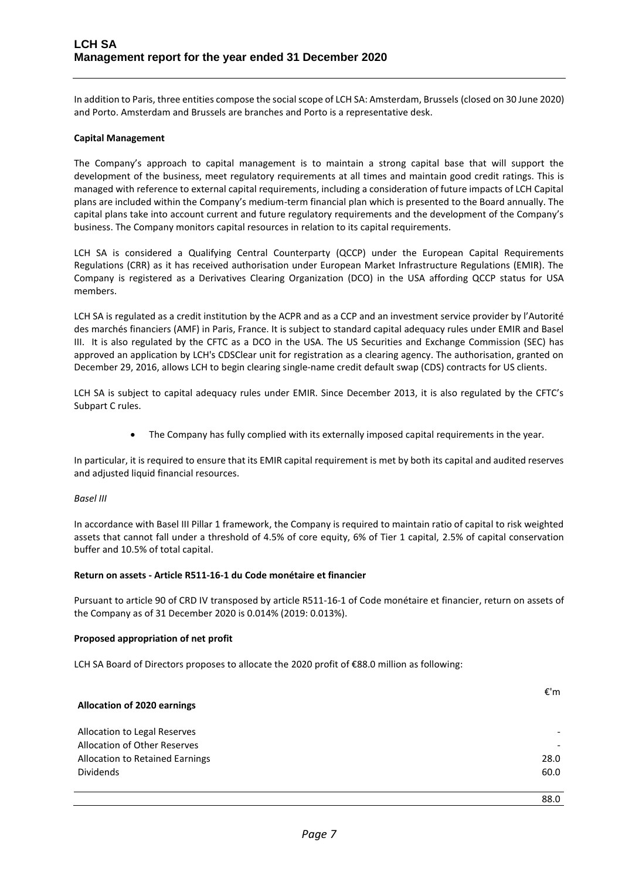In addition to Paris, three entities compose the social scope of LCH SA: Amsterdam, Brussels (closed on 30 June 2020) and Porto. Amsterdam and Brussels are branches and Porto is a representative desk.

#### **Capital Management**

The Company's approach to capital management is to maintain a strong capital base that will support the development of the business, meet regulatory requirements at all times and maintain good credit ratings. This is managed with reference to external capital requirements, including a consideration of future impacts of LCH Capital plans are included within the Company's medium-term financial plan which is presented to the Board annually. The capital plans take into account current and future regulatory requirements and the development of the Company's business. The Company monitors capital resources in relation to its capital requirements.

LCH SA is considered a Qualifying Central Counterparty (QCCP) under the European Capital Requirements Regulations (CRR) as it has received authorisation under European Market Infrastructure Regulations (EMIR). The Company is registered as a Derivatives Clearing Organization (DCO) in the USA affording QCCP status for USA members.

LCH SA is regulated as a credit institution by the ACPR and as a CCP and an investment service provider by l'Autorité des marchés financiers (AMF) in Paris, France. It is subject to standard capital adequacy rules under EMIR and Basel III. It is also regulated by the CFTC as a DCO in the USA. The US Securities and Exchange Commission (SEC) has approved an application by LCH's CDSClear unit for registration as a clearing agency. The authorisation, granted on December 29, 2016, allows LCH to begin clearing single-name credit default swap (CDS) contracts for US clients.

LCH SA is subject to capital adequacy rules under EMIR. Since December 2013, it is also regulated by the CFTC's Subpart C rules.

• The Company has fully complied with its externally imposed capital requirements in the year.

In particular, it is required to ensure that its EMIR capital requirement is met by both its capital and audited reserves and adjusted liquid financial resources.

#### *Basel III*

In accordance with Basel III Pillar 1 framework, the Company is required to maintain ratio of capital to risk weighted assets that cannot fall under a threshold of 4.5% of core equity, 6% of Tier 1 capital, 2.5% of capital conservation buffer and 10.5% of total capital.

## **Return on assets - Article R511-16-1 du Code monétaire et financier**

Pursuant to article 90 of CRD IV transposed by article R511-16-1 of Code monétaire et financier, return on assets of the Company as of 31 December 2020 is 0.014% (2019: 0.013%).

## **Proposed appropriation of net profit**

LCH SA Board of Directors proposes to allocate the 2020 profit of €88.0 million as following:

| <b>Allocation of 2020 earnings</b>                                  | €'m  |
|---------------------------------------------------------------------|------|
| Allocation to Legal Reserves<br><b>Allocation of Other Reserves</b> |      |
| Allocation to Retained Earnings                                     | 28.0 |
| <b>Dividends</b>                                                    | 60.0 |

88.0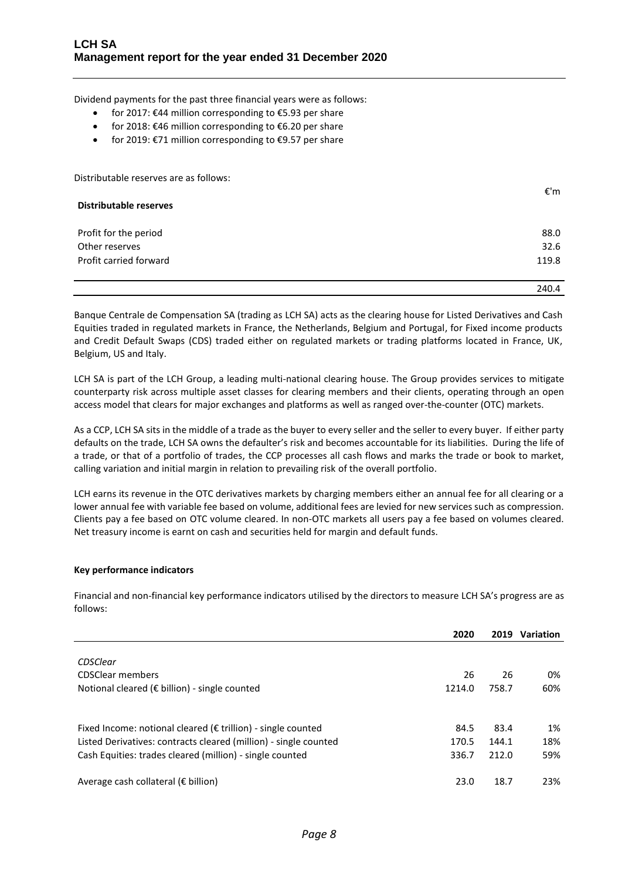Dividend payments for the past three financial years were as follows:

- for 2017: €44 million corresponding to €5.93 per share
- for 2018: €46 million corresponding to €6.20 per share
- for 2019:  $E$ 71 million corresponding to  $E$ 9.57 per share

Distributable reserves are as follows:

| <b>Distributable reserves</b> | €'m   |
|-------------------------------|-------|
| Profit for the period         | 88.0  |
| Other reserves                | 32.6  |
| Profit carried forward        | 119.8 |
|                               | 240.4 |

Banque Centrale de Compensation SA (trading as LCH SA) acts as the clearing house for Listed Derivatives and Cash Equities traded in regulated markets in France, the Netherlands, Belgium and Portugal, for Fixed income products and Credit Default Swaps (CDS) traded either on regulated markets or trading platforms located in France, UK, Belgium, US and Italy.

LCH SA is part of the LCH Group, a leading multi-national clearing house. The Group provides services to mitigate counterparty risk across multiple asset classes for clearing members and their clients, operating through an open access model that clears for major exchanges and platforms as well as ranged over-the-counter (OTC) markets.

As a CCP, LCH SA sits in the middle of a trade as the buyer to every seller and the seller to every buyer. If either party defaults on the trade, LCH SA owns the defaulter's risk and becomes accountable for its liabilities. During the life of a trade, or that of a portfolio of trades, the CCP processes all cash flows and marks the trade or book to market, calling variation and initial margin in relation to prevailing risk of the overall portfolio.

LCH earns its revenue in the OTC derivatives markets by charging members either an annual fee for all clearing or a lower annual fee with variable fee based on volume, additional fees are levied for new services such as compression. Clients pay a fee based on OTC volume cleared. In non-OTC markets all users pay a fee based on volumes cleared. Net treasury income is earnt on cash and securities held for margin and default funds.

## **Key performance indicators**

Financial and non-financial key performance indicators utilised by the directors to measure LCH SA's progress are as follows:

|                                                                        | 2020   | 2019  | Variation |
|------------------------------------------------------------------------|--------|-------|-----------|
|                                                                        |        |       |           |
| CDSClear                                                               |        |       |           |
| <b>CDSClear members</b>                                                | 26     | 26    | 0%        |
| Notional cleared ( $\epsilon$ billion) - single counted                | 1214.0 | 758.7 | 60%       |
|                                                                        |        |       |           |
| Fixed Income: notional cleared ( $\epsilon$ trillion) - single counted | 84.5   | 83.4  | 1%        |
| Listed Derivatives: contracts cleared (million) - single counted       | 170.5  | 144.1 | 18%       |
| Cash Equities: trades cleared (million) - single counted               | 336.7  | 212.0 | 59%       |
| Average cash collateral ( $\epsilon$ billion)                          | 23.0   | 18.7  | 23%       |
|                                                                        |        |       |           |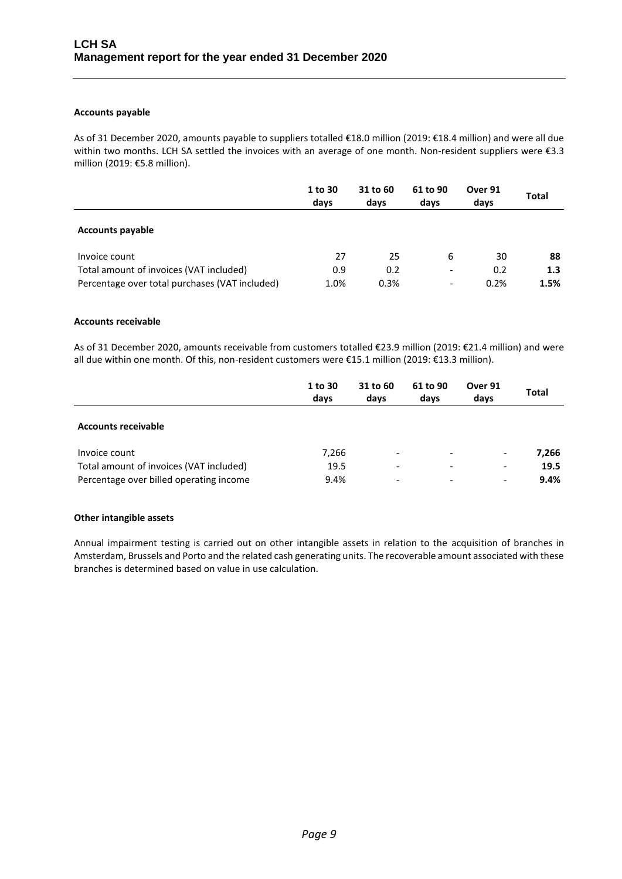## **Accounts payable**

As of 31 December 2020, amounts payable to suppliers totalled €18.0 million (2019: €18.4 million) and were all due within two months. LCH SA settled the invoices with an average of one month. Non-resident suppliers were €3.3 million (2019: €5.8 million).

|                                                | 1 to 30<br>days | 31 to 60<br>days | 61 to 90<br>days         | Over 91<br>days | <b>Total</b> |
|------------------------------------------------|-----------------|------------------|--------------------------|-----------------|--------------|
| <b>Accounts payable</b>                        |                 |                  |                          |                 |              |
| Invoice count                                  | 27              | 25               | 6                        | 30              | 88           |
| Total amount of invoices (VAT included)        | 0.9             | 0.2              | $\overline{\phantom{a}}$ | 0.2             | 1.3          |
| Percentage over total purchases (VAT included) | 1.0%            | 0.3%             | $\overline{\phantom{0}}$ | 0.2%            | 1.5%         |

## **Accounts receivable**

As of 31 December 2020, amounts receivable from customers totalled €23.9 million (2019: €21.4 million) and were all due within one month. Of this, non-resident customers were €15.1 million (2019: €13.3 million).

|                                         | 1 to 30<br>days | 31 to 60<br>days         | 61 to 90<br>days         | Over 91<br>days          | <b>Total</b> |
|-----------------------------------------|-----------------|--------------------------|--------------------------|--------------------------|--------------|
| <b>Accounts receivable</b>              |                 |                          |                          |                          |              |
| Invoice count                           | 7,266           | $\overline{\phantom{a}}$ | $\overline{\phantom{a}}$ | $\overline{\phantom{a}}$ | 7,266        |
| Total amount of invoices (VAT included) | 19.5            | -                        | $\overline{\phantom{0}}$ | $\overline{\phantom{a}}$ | 19.5         |
| Percentage over billed operating income | 9.4%            | $\overline{\phantom{0}}$ | $\overline{\phantom{0}}$ | $\overline{\phantom{a}}$ | 9.4%         |

## **Other intangible assets**

Annual impairment testing is carried out on other intangible assets in relation to the acquisition of branches in Amsterdam, Brussels and Porto and the related cash generating units. The recoverable amount associated with these branches is determined based on value in use calculation.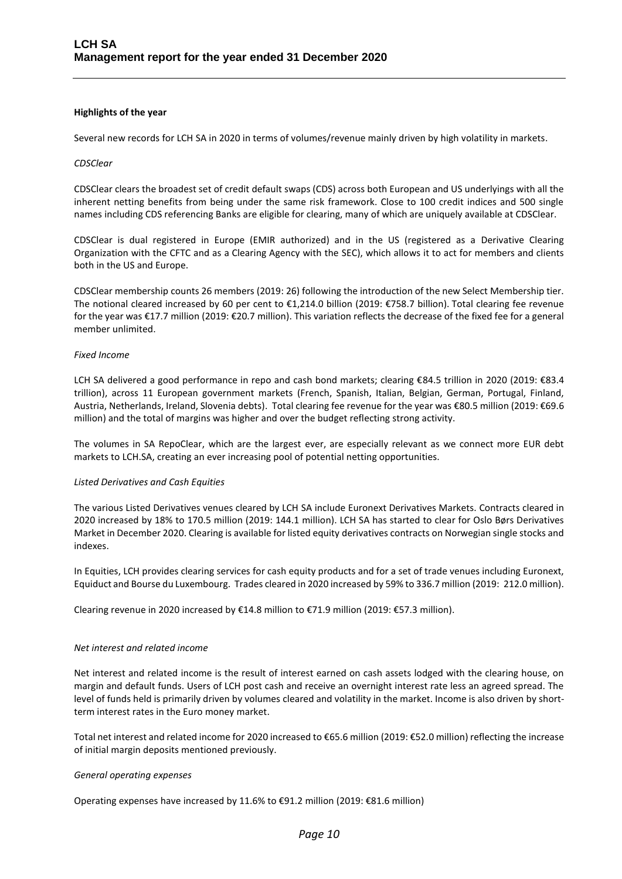#### **Highlights of the year**

Several new records for LCH SA in 2020 in terms of volumes/revenue mainly driven by high volatility in markets.

#### *CDSClear*

CDSClear clears the broadest set of credit default swaps (CDS) across both European and US underlyings with all the inherent netting benefits from being under the same risk framework. Close to 100 credit indices and 500 single names including CDS referencing Banks are eligible for clearing, many of which are uniquely available at CDSClear.

CDSClear is dual registered in Europe (EMIR authorized) and in the US (registered as a Derivative Clearing Organization with the CFTC and as a Clearing Agency with the SEC), which allows it to act for members and clients both in the US and Europe.

CDSClear membership counts 26 members (2019: 26) following the introduction of the new Select Membership tier. The notional cleared increased by 60 per cent to €1,214.0 billion (2019: €758.7 billion). Total clearing fee revenue for the year was €17.7 million (2019: €20.7 million). This variation reflects the decrease of the fixed fee for a general member unlimited.

#### *Fixed Income*

LCH SA delivered a good performance in repo and cash bond markets; clearing €84.5 trillion in 2020 (2019: €83.4 trillion), across 11 European government markets (French, Spanish, Italian, Belgian, German, Portugal, Finland, Austria, Netherlands, Ireland, Slovenia debts). Total clearing fee revenue for the year was €80.5 million (2019: €69.6 million) and the total of margins was higher and over the budget reflecting strong activity.

The volumes in SA RepoClear, which are the largest ever, are especially relevant as we connect more EUR debt markets to LCH.SA, creating an ever increasing pool of potential netting opportunities.

#### *Listed Derivatives and Cash Equities*

The various Listed Derivatives venues cleared by LCH SA include Euronext Derivatives Markets. Contracts cleared in 2020 increased by 18% to 170.5 million (2019: 144.1 million). LCH SA has started to clear for Oslo Børs Derivatives Market in December 2020. Clearing is available for listed equit[y derivatives](https://www.linkedin.com/feed/hashtag/?keywords=derivatives&highlightedUpdateUrns=urn%3Ali%3Aactivity%3A6742737384657448960) contracts on Norwegian single stocks and indexes.

In Equities, LCH provides clearing services for cash equity products and for a set of trade venues including Euronext, Equiduct and Bourse du Luxembourg. Trades cleared in 2020 increased by 59% to 336.7 million (2019: 212.0 million).

Clearing revenue in 2020 increased by €14.8 million to €71.9 million (2019: €57.3 million).

#### *Net interest and related income*

Net interest and related income is the result of interest earned on cash assets lodged with the clearing house, on margin and default funds. Users of LCH post cash and receive an overnight interest rate less an agreed spread. The level of funds held is primarily driven by volumes cleared and volatility in the market. Income is also driven by shortterm interest rates in the Euro money market.

Total net interest and related income for 2020 increased to €65.6 million (2019: €52.0 million) reflecting the increase of initial margin deposits mentioned previously.

#### *General operating expenses*

Operating expenses have increased by 11.6% to  $\epsilon$ 91.2 million (2019:  $\epsilon$ 81.6 million)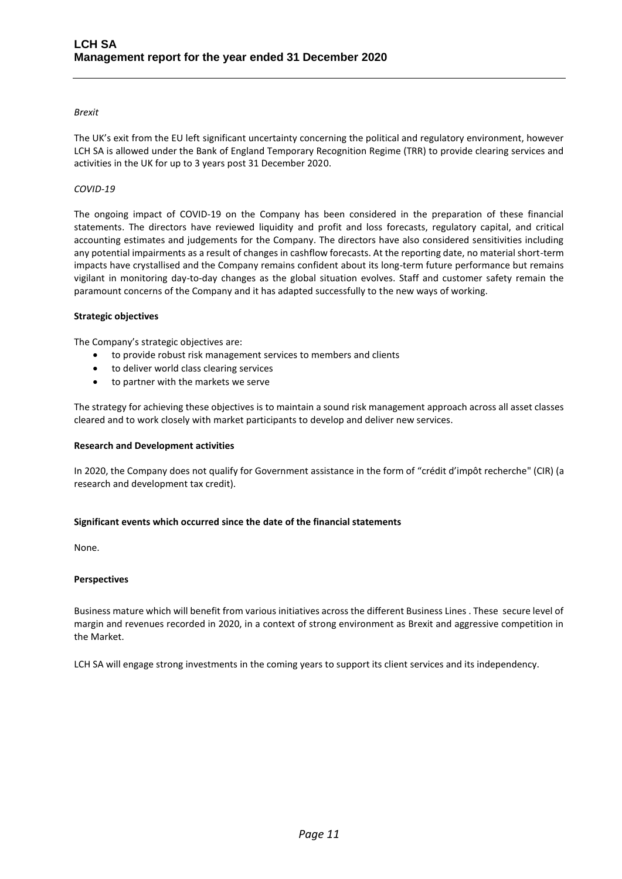## *Brexit*

The UK's exit from the EU left significant uncertainty concerning the political and regulatory environment, however LCH SA is allowed under the Bank of England Temporary Recognition Regime (TRR) to provide clearing services and activities in the UK for up to 3 years post 31 December 2020.

## *COVID-19*

The ongoing impact of COVID-19 on the Company has been considered in the preparation of these financial statements. The directors have reviewed liquidity and profit and loss forecasts, regulatory capital, and critical accounting estimates and judgements for the Company. The directors have also considered sensitivities including any potential impairments as a result of changes in cashflow forecasts. At the reporting date, no material short-term impacts have crystallised and the Company remains confident about its long-term future performance but remains vigilant in monitoring day-to-day changes as the global situation evolves. Staff and customer safety remain the paramount concerns of the Company and it has adapted successfully to the new ways of working.

## **Strategic objectives**

The Company's strategic objectives are:

- to provide robust risk management services to members and clients
- to deliver world class clearing services
- to partner with the markets we serve

The strategy for achieving these objectives is to maintain a sound risk management approach across all asset classes cleared and to work closely with market participants to develop and deliver new services.

## **Research and Development activities**

In 2020, the Company does not qualify for Government assistance in the form of "crédit d'impôt recherche" (CIR) (a research and development tax credit).

## **Significant events which occurred since the date of the financial statements**

None.

## **Perspectives**

Business mature which will benefit from various initiatives across the different Business Lines . These secure level of margin and revenues recorded in 2020, in a context of strong environment as Brexit and aggressive competition in the Market.

LCH SA will engage strong investments in the coming years to support its client services and its independency.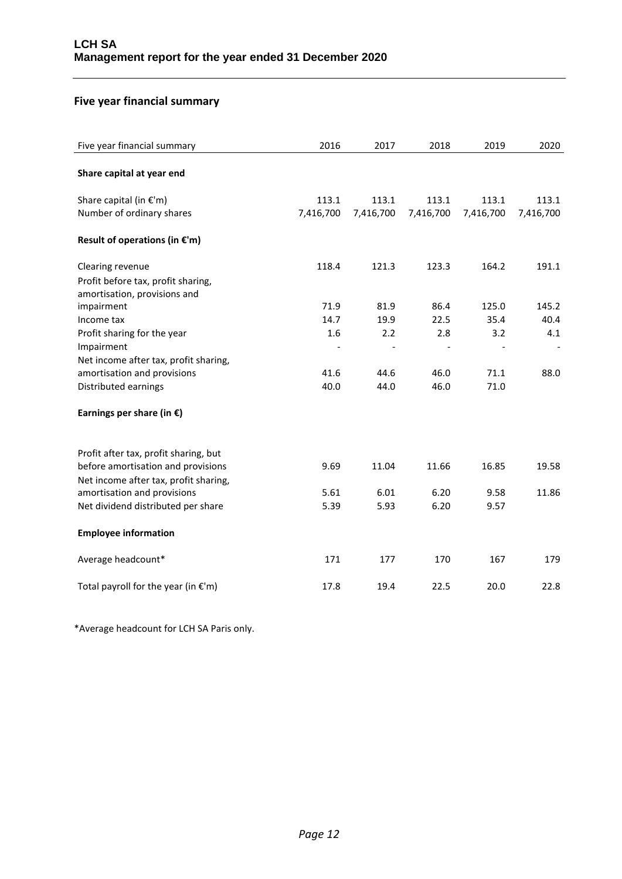## **Five year financial summary**

| Five year financial summary                                        | 2016      | 2017      | 2018      | 2019      | 2020      |
|--------------------------------------------------------------------|-----------|-----------|-----------|-----------|-----------|
| Share capital at year end                                          |           |           |           |           |           |
| Share capital (in $E'm$ )                                          | 113.1     | 113.1     | 113.1     | 113.1     | 113.1     |
| Number of ordinary shares                                          | 7,416,700 | 7,416,700 | 7,416,700 | 7,416,700 | 7,416,700 |
| Result of operations (in $E'm$ )                                   |           |           |           |           |           |
| Clearing revenue                                                   | 118.4     | 121.3     | 123.3     | 164.2     | 191.1     |
| Profit before tax, profit sharing,<br>amortisation, provisions and |           |           |           |           |           |
| impairment                                                         | 71.9      | 81.9      | 86.4      | 125.0     | 145.2     |
| Income tax                                                         | 14.7      | 19.9      | 22.5      | 35.4      | 40.4      |
| Profit sharing for the year                                        | 1.6       | 2.2       | 2.8       | 3.2       | 4.1       |
| Impairment                                                         |           |           |           |           |           |
| Net income after tax, profit sharing,                              |           |           |           |           |           |
| amortisation and provisions                                        | 41.6      | 44.6      | 46.0      | 71.1      | 88.0      |
| Distributed earnings                                               | 40.0      | 44.0      | 46.0      | 71.0      |           |
| Earnings per share (in $\epsilon$ )                                |           |           |           |           |           |
| Profit after tax, profit sharing, but                              |           |           |           |           |           |
| before amortisation and provisions                                 | 9.69      | 11.04     | 11.66     | 16.85     | 19.58     |
| Net income after tax, profit sharing,                              |           |           |           |           |           |
| amortisation and provisions                                        | 5.61      | 6.01      | 6.20      | 9.58      | 11.86     |
| Net dividend distributed per share                                 | 5.39      | 5.93      | 6.20      | 9.57      |           |
| <b>Employee information</b>                                        |           |           |           |           |           |
| Average headcount*                                                 | 171       | 177       | 170       | 167       | 179       |
| Total payroll for the year (in $\epsilon$ 'm)                      | 17.8      | 19.4      | 22.5      | 20.0      | 22.8      |

\*Average headcount for LCH SA Paris only.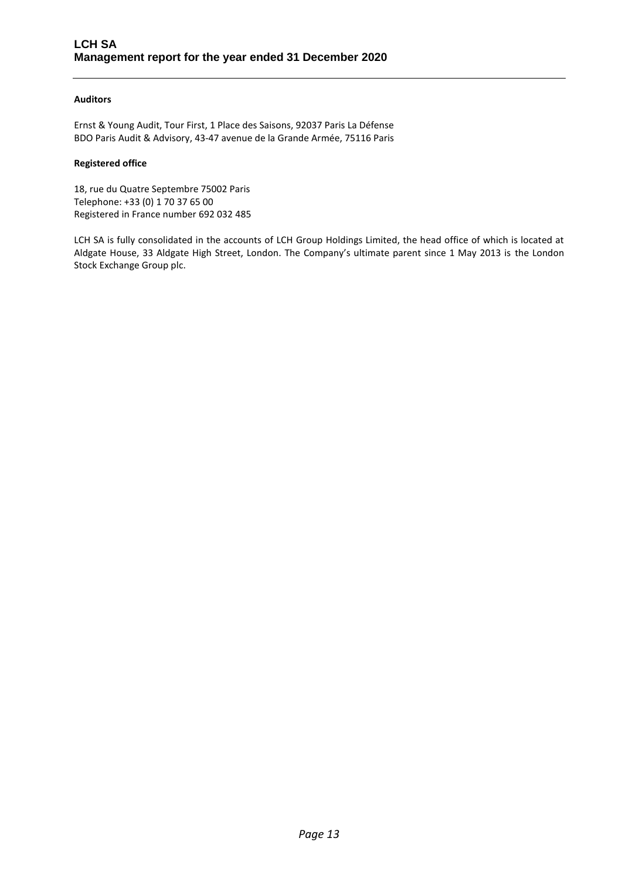## **Auditors**

Ernst & Young Audit, Tour First, 1 Place des Saisons, 92037 Paris La Défense BDO Paris Audit & Advisory, 43-47 avenue de la Grande Armée, 75116 Paris

## **Registered office**

18, rue du Quatre Septembre 75002 Paris Telephone: +33 (0) 1 70 37 65 00 Registered in France number 692 032 485

LCH SA is fully consolidated in the accounts of LCH Group Holdings Limited, the head office of which is located at Aldgate House, 33 Aldgate High Street, London. The Company's ultimate parent since 1 May 2013 is the London Stock Exchange Group plc.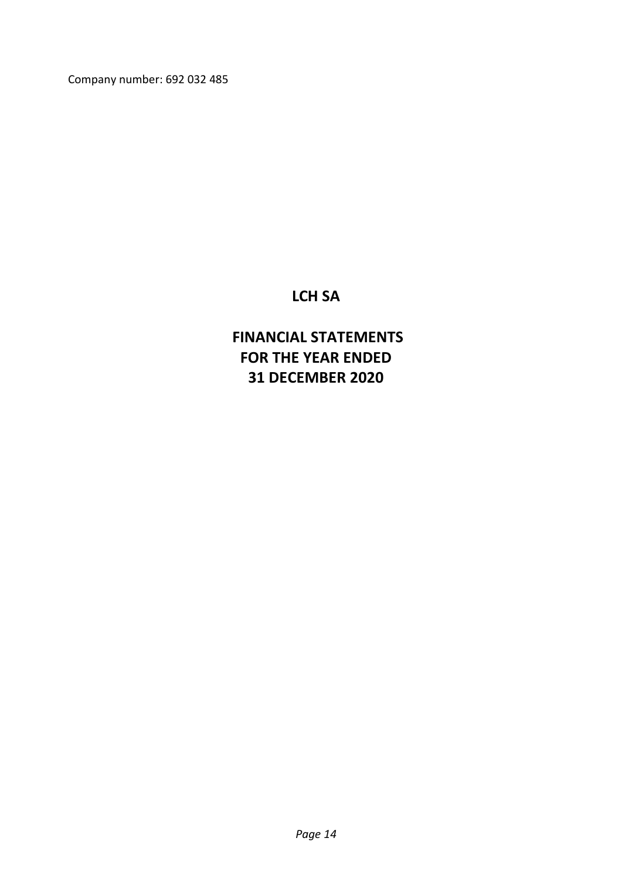Company number: 692 032 485

## **LCH SA**

# **FINANCIAL STATEMENTS FOR THE YEAR ENDED 31 DECEMBER 2020**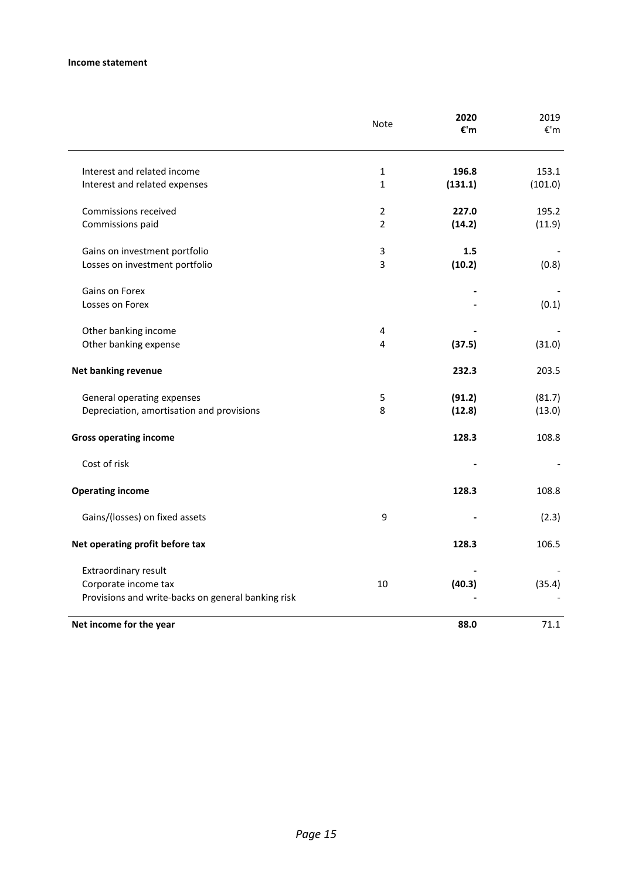|                                                    | Note           | 2020<br>€'m | 2019<br>$\varepsilon$ 'm |
|----------------------------------------------------|----------------|-------------|--------------------------|
| Interest and related income                        | $\mathbf{1}$   | 196.8       | 153.1                    |
| Interest and related expenses                      | $\mathbf{1}$   | (131.1)     | (101.0)                  |
| Commissions received                               | $\overline{2}$ | 227.0       | 195.2                    |
| Commissions paid                                   | $\overline{2}$ | (14.2)      | (11.9)                   |
| Gains on investment portfolio                      | 3              | 1.5         |                          |
| Losses on investment portfolio                     | 3              | (10.2)      | (0.8)                    |
| Gains on Forex                                     |                |             |                          |
| Losses on Forex                                    |                |             | (0.1)                    |
| Other banking income                               | 4              |             |                          |
| Other banking expense                              | 4              | (37.5)      | (31.0)                   |
| Net banking revenue                                |                | 232.3       | 203.5                    |
| General operating expenses                         | 5              | (91.2)      | (81.7)                   |
| Depreciation, amortisation and provisions          | 8              | (12.8)      | (13.0)                   |
| <b>Gross operating income</b>                      |                | 128.3       | 108.8                    |
| Cost of risk                                       |                |             |                          |
| <b>Operating income</b>                            |                | 128.3       | 108.8                    |
| Gains/(losses) on fixed assets                     | 9              |             | (2.3)                    |
| Net operating profit before tax                    |                | 128.3       | 106.5                    |
| Extraordinary result                               |                |             |                          |
| Corporate income tax                               | 10             | (40.3)      | (35.4)                   |
| Provisions and write-backs on general banking risk |                |             |                          |
| Net income for the year                            |                | 88.0        | 71.1                     |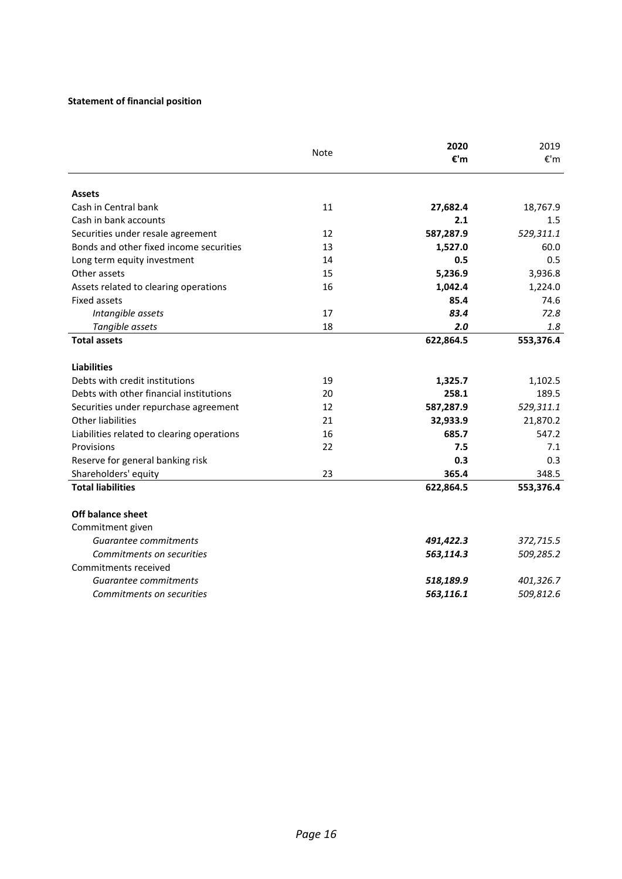## **Statement of financial position**

| <b>Assets</b><br>Cash in Central bank<br>11<br>Cash in bank accounts<br>12<br>Securities under resale agreement<br>Bonds and other fixed income securities<br>13<br>Long term equity investment<br>14<br>Other assets<br>15<br>16<br>Assets related to clearing operations<br><b>Fixed assets</b><br>Intangible assets<br>17<br>18<br>Tangible assets<br><b>Total assets</b><br><b>Liabilities</b><br>Debts with credit institutions<br>19<br>Debts with other financial institutions<br>20<br>12<br>Securities under repurchase agreement<br><b>Other liabilities</b><br>21<br>16<br>Liabilities related to clearing operations<br>22<br>Provisions<br>Reserve for general banking risk<br>23<br>Shareholders' equity | 27,682.4<br>2.1<br>587,287.9<br>1,527.0<br>0.5<br>5,236.9<br>1,042.4<br>85.4<br>83.4<br>2.0<br>622,864.5 | 18,767.9<br>1.5<br>529,311.1<br>60.0<br>0.5<br>3,936.8<br>1,224.0<br>74.6<br>72.8<br>1.8 |
|------------------------------------------------------------------------------------------------------------------------------------------------------------------------------------------------------------------------------------------------------------------------------------------------------------------------------------------------------------------------------------------------------------------------------------------------------------------------------------------------------------------------------------------------------------------------------------------------------------------------------------------------------------------------------------------------------------------------|----------------------------------------------------------------------------------------------------------|------------------------------------------------------------------------------------------|
|                                                                                                                                                                                                                                                                                                                                                                                                                                                                                                                                                                                                                                                                                                                        |                                                                                                          |                                                                                          |
|                                                                                                                                                                                                                                                                                                                                                                                                                                                                                                                                                                                                                                                                                                                        |                                                                                                          |                                                                                          |
|                                                                                                                                                                                                                                                                                                                                                                                                                                                                                                                                                                                                                                                                                                                        |                                                                                                          |                                                                                          |
|                                                                                                                                                                                                                                                                                                                                                                                                                                                                                                                                                                                                                                                                                                                        |                                                                                                          |                                                                                          |
|                                                                                                                                                                                                                                                                                                                                                                                                                                                                                                                                                                                                                                                                                                                        |                                                                                                          |                                                                                          |
|                                                                                                                                                                                                                                                                                                                                                                                                                                                                                                                                                                                                                                                                                                                        |                                                                                                          |                                                                                          |
|                                                                                                                                                                                                                                                                                                                                                                                                                                                                                                                                                                                                                                                                                                                        |                                                                                                          |                                                                                          |
|                                                                                                                                                                                                                                                                                                                                                                                                                                                                                                                                                                                                                                                                                                                        |                                                                                                          |                                                                                          |
|                                                                                                                                                                                                                                                                                                                                                                                                                                                                                                                                                                                                                                                                                                                        |                                                                                                          |                                                                                          |
|                                                                                                                                                                                                                                                                                                                                                                                                                                                                                                                                                                                                                                                                                                                        |                                                                                                          |                                                                                          |
|                                                                                                                                                                                                                                                                                                                                                                                                                                                                                                                                                                                                                                                                                                                        |                                                                                                          |                                                                                          |
|                                                                                                                                                                                                                                                                                                                                                                                                                                                                                                                                                                                                                                                                                                                        |                                                                                                          | 553,376.4                                                                                |
|                                                                                                                                                                                                                                                                                                                                                                                                                                                                                                                                                                                                                                                                                                                        |                                                                                                          |                                                                                          |
|                                                                                                                                                                                                                                                                                                                                                                                                                                                                                                                                                                                                                                                                                                                        | 1,325.7                                                                                                  | 1,102.5                                                                                  |
|                                                                                                                                                                                                                                                                                                                                                                                                                                                                                                                                                                                                                                                                                                                        | 258.1                                                                                                    | 189.5                                                                                    |
|                                                                                                                                                                                                                                                                                                                                                                                                                                                                                                                                                                                                                                                                                                                        | 587,287.9                                                                                                | 529,311.1                                                                                |
|                                                                                                                                                                                                                                                                                                                                                                                                                                                                                                                                                                                                                                                                                                                        | 32,933.9                                                                                                 | 21,870.2                                                                                 |
|                                                                                                                                                                                                                                                                                                                                                                                                                                                                                                                                                                                                                                                                                                                        | 685.7                                                                                                    | 547.2                                                                                    |
|                                                                                                                                                                                                                                                                                                                                                                                                                                                                                                                                                                                                                                                                                                                        | 7.5                                                                                                      | 7.1                                                                                      |
|                                                                                                                                                                                                                                                                                                                                                                                                                                                                                                                                                                                                                                                                                                                        | 0.3                                                                                                      | 0.3                                                                                      |
|                                                                                                                                                                                                                                                                                                                                                                                                                                                                                                                                                                                                                                                                                                                        | 365.4                                                                                                    | 348.5                                                                                    |
| <b>Total liabilities</b>                                                                                                                                                                                                                                                                                                                                                                                                                                                                                                                                                                                                                                                                                               | 622,864.5                                                                                                | 553,376.4                                                                                |
| <b>Off balance sheet</b>                                                                                                                                                                                                                                                                                                                                                                                                                                                                                                                                                                                                                                                                                               |                                                                                                          |                                                                                          |
| Commitment given                                                                                                                                                                                                                                                                                                                                                                                                                                                                                                                                                                                                                                                                                                       |                                                                                                          |                                                                                          |
| Guarantee commitments                                                                                                                                                                                                                                                                                                                                                                                                                                                                                                                                                                                                                                                                                                  | 491,422.3                                                                                                | 372,715.5                                                                                |
| Commitments on securities                                                                                                                                                                                                                                                                                                                                                                                                                                                                                                                                                                                                                                                                                              | 563,114.3                                                                                                | 509,285.2                                                                                |
| Commitments received                                                                                                                                                                                                                                                                                                                                                                                                                                                                                                                                                                                                                                                                                                   |                                                                                                          |                                                                                          |
| Guarantee commitments                                                                                                                                                                                                                                                                                                                                                                                                                                                                                                                                                                                                                                                                                                  | 518,189.9                                                                                                | 401,326.7                                                                                |
| Commitments on securities                                                                                                                                                                                                                                                                                                                                                                                                                                                                                                                                                                                                                                                                                              | 563,116.1                                                                                                | 509,812.6                                                                                |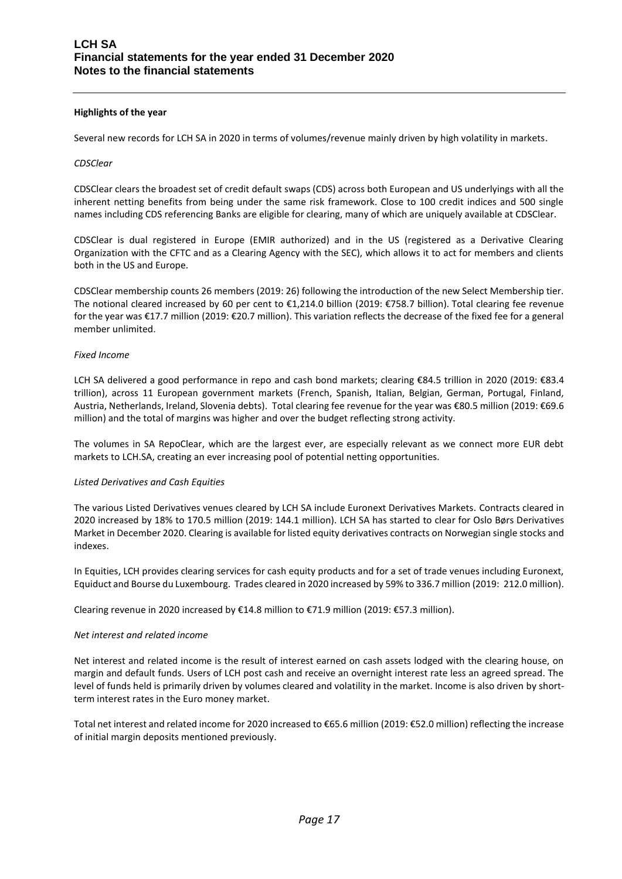#### **Highlights of the year**

Several new records for LCH SA in 2020 in terms of volumes/revenue mainly driven by high volatility in markets.

#### *CDSClear*

CDSClear clears the broadest set of credit default swaps (CDS) across both European and US underlyings with all the inherent netting benefits from being under the same risk framework. Close to 100 credit indices and 500 single names including CDS referencing Banks are eligible for clearing, many of which are uniquely available at CDSClear.

CDSClear is dual registered in Europe (EMIR authorized) and in the US (registered as a Derivative Clearing Organization with the CFTC and as a Clearing Agency with the SEC), which allows it to act for members and clients both in the US and Europe.

CDSClear membership counts 26 members (2019: 26) following the introduction of the new Select Membership tier. The notional cleared increased by 60 per cent to €1,214.0 billion (2019: €758.7 billion). Total clearing fee revenue for the year was €17.7 million (2019: €20.7 million). This variation reflects the decrease of the fixed fee for a general member unlimited.

#### *Fixed Income*

LCH SA delivered a good performance in repo and cash bond markets; clearing €84.5 trillion in 2020 (2019: €83.4 trillion), across 11 European government markets (French, Spanish, Italian, Belgian, German, Portugal, Finland, Austria, Netherlands, Ireland, Slovenia debts). Total clearing fee revenue for the year was €80.5 million (2019: €69.6 million) and the total of margins was higher and over the budget reflecting strong activity.

The volumes in SA RepoClear, which are the largest ever, are especially relevant as we connect more EUR debt markets to LCH.SA, creating an ever increasing pool of potential netting opportunities.

#### *Listed Derivatives and Cash Equities*

The various Listed Derivatives venues cleared by LCH SA include Euronext Derivatives Markets. Contracts cleared in 2020 increased by 18% to 170.5 million (2019: 144.1 million). LCH SA has started to clear for Oslo Børs Derivatives Market in December 2020. Clearing is available for listed equit[y derivatives](https://www.linkedin.com/feed/hashtag/?keywords=derivatives&highlightedUpdateUrns=urn%3Ali%3Aactivity%3A6742737384657448960) contracts on Norwegian single stocks and indexes.

In Equities, LCH provides clearing services for cash equity products and for a set of trade venues including Euronext, Equiduct and Bourse du Luxembourg. Trades cleared in 2020 increased by 59% to 336.7 million (2019: 212.0 million).

Clearing revenue in 2020 increased by €14.8 million to €71.9 million (2019: €57.3 million).

#### *Net interest and related income*

Net interest and related income is the result of interest earned on cash assets lodged with the clearing house, on margin and default funds. Users of LCH post cash and receive an overnight interest rate less an agreed spread. The level of funds held is primarily driven by volumes cleared and volatility in the market. Income is also driven by shortterm interest rates in the Euro money market.

Total net interest and related income for 2020 increased to €65.6 million (2019: €52.0 million) reflecting the increase of initial margin deposits mentioned previously.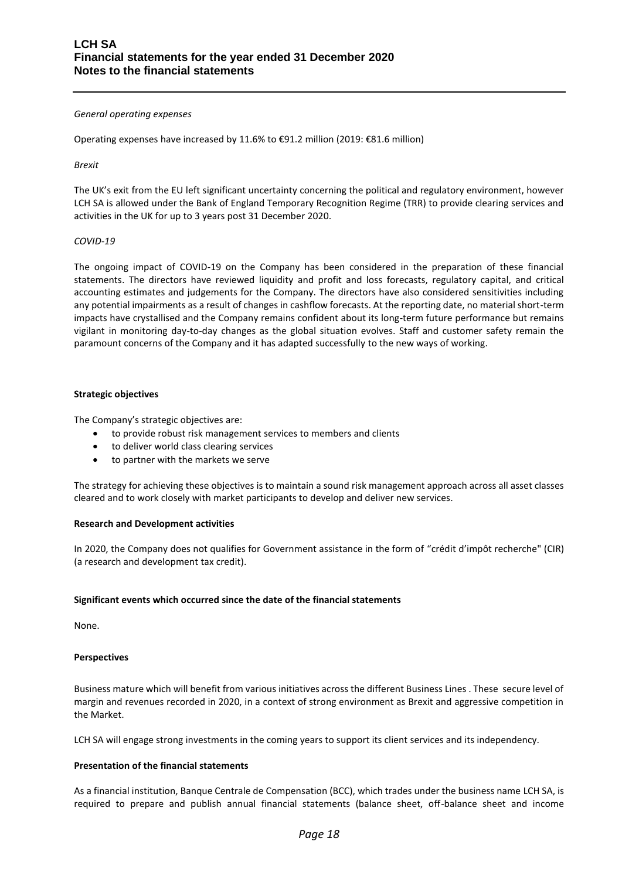#### *General operating expenses*

Operating expenses have increased by 11.6% to €91.2 million (2019: €81.6 million)

#### *Brexit*

The UK's exit from the EU left significant uncertainty concerning the political and regulatory environment, however LCH SA is allowed under the Bank of England Temporary Recognition Regime (TRR) to provide clearing services and activities in the UK for up to 3 years post 31 December 2020.

#### *COVID-19*

The ongoing impact of COVID-19 on the Company has been considered in the preparation of these financial statements. The directors have reviewed liquidity and profit and loss forecasts, regulatory capital, and critical accounting estimates and judgements for the Company. The directors have also considered sensitivities including any potential impairments as a result of changes in cashflow forecasts. At the reporting date, no material short-term impacts have crystallised and the Company remains confident about its long-term future performance but remains vigilant in monitoring day-to-day changes as the global situation evolves. Staff and customer safety remain the paramount concerns of the Company and it has adapted successfully to the new ways of working.

#### **Strategic objectives**

The Company's strategic objectives are:

- to provide robust risk management services to members and clients
- to deliver world class clearing services
- to partner with the markets we serve

The strategy for achieving these objectives is to maintain a sound risk management approach across all asset classes cleared and to work closely with market participants to develop and deliver new services.

#### **Research and Development activities**

In 2020, the Company does not qualifies for Government assistance in the form of "crédit d'impôt recherche" (CIR) (a research and development tax credit).

#### **Significant events which occurred since the date of the financial statements**

None.

#### **Perspectives**

Business mature which will benefit from various initiatives across the different Business Lines . These secure level of margin and revenues recorded in 2020, in a context of strong environment as Brexit and aggressive competition in the Market.

LCH SA will engage strong investments in the coming years to support its client services and its independency.

#### **Presentation of the financial statements**

As a financial institution, Banque Centrale de Compensation (BCC), which trades under the business name LCH SA, is required to prepare and publish annual financial statements (balance sheet, off-balance sheet and income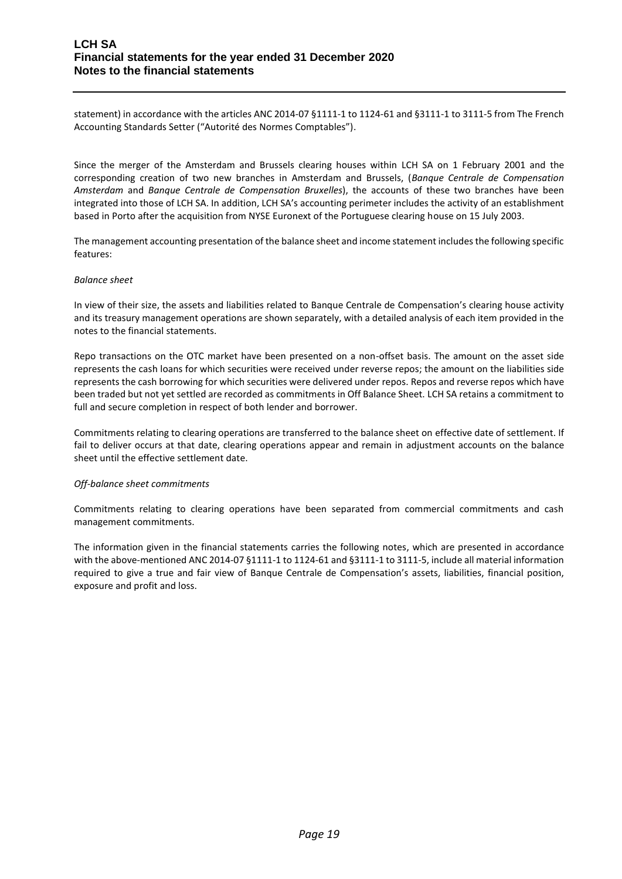statement) in accordance with the articles ANC 2014-07 §1111-1 to 1124-61 and §3111-1 to 3111-5 from The French Accounting Standards Setter ("Autorité des Normes Comptables").

Since the merger of the Amsterdam and Brussels clearing houses within LCH SA on 1 February 2001 and the corresponding creation of two new branches in Amsterdam and Brussels, (*Banque Centrale de Compensation Amsterdam* and *Banque Centrale de Compensation Bruxelles*), the accounts of these two branches have been integrated into those of LCH SA. In addition, LCH SA's accounting perimeter includes the activity of an establishment based in Porto after the acquisition from NYSE Euronext of the Portuguese clearing house on 15 July 2003.

The management accounting presentation of the balance sheet and income statement includes the following specific features:

#### *Balance sheet*

In view of their size, the assets and liabilities related to Banque Centrale de Compensation's clearing house activity and its treasury management operations are shown separately, with a detailed analysis of each item provided in the notes to the financial statements.

Repo transactions on the OTC market have been presented on a non-offset basis. The amount on the asset side represents the cash loans for which securities were received under reverse repos; the amount on the liabilities side represents the cash borrowing for which securities were delivered under repos. Repos and reverse repos which have been traded but not yet settled are recorded as commitments in Off Balance Sheet. LCH SA retains a commitment to full and secure completion in respect of both lender and borrower.

Commitments relating to clearing operations are transferred to the balance sheet on effective date of settlement. If fail to deliver occurs at that date, clearing operations appear and remain in adjustment accounts on the balance sheet until the effective settlement date.

## *Off-balance sheet commitments*

Commitments relating to clearing operations have been separated from commercial commitments and cash management commitments.

The information given in the financial statements carries the following notes, which are presented in accordance with the above-mentioned ANC 2014-07 §1111-1 to 1124-61 and §3111-1 to 3111-5, include all material information required to give a true and fair view of Banque Centrale de Compensation's assets, liabilities, financial position, exposure and profit and loss.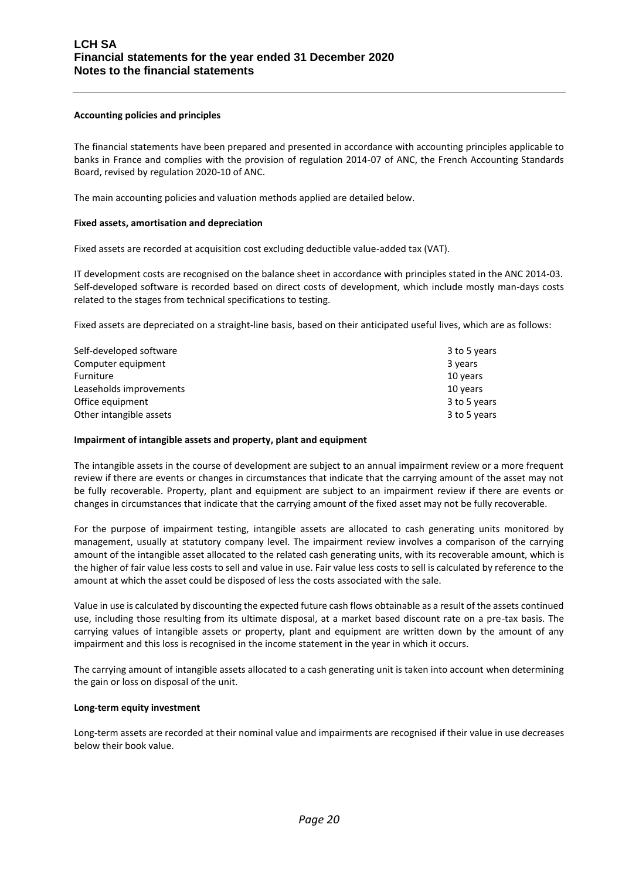#### **Accounting policies and principles**

The financial statements have been prepared and presented in accordance with accounting principles applicable to banks in France and complies with the provision of regulation 2014-07 of ANC, the French Accounting Standards Board, revised by regulation 2020-10 of ANC.

The main accounting policies and valuation methods applied are detailed below.

#### **Fixed assets, amortisation and depreciation**

Fixed assets are recorded at acquisition cost excluding deductible value-added tax (VAT).

IT development costs are recognised on the balance sheet in accordance with principles stated in the ANC 2014-03. Self-developed software is recorded based on direct costs of development, which include mostly man-days costs related to the stages from technical specifications to testing.

Fixed assets are depreciated on a straight-line basis, based on their anticipated useful lives, which are as follows:

| Self-developed software | 3 to 5 years |
|-------------------------|--------------|
| Computer equipment      | 3 years      |
| Furniture               | 10 years     |
| Leaseholds improvements | 10 years     |
| Office equipment        | 3 to 5 years |
| Other intangible assets | 3 to 5 years |

#### **Impairment of intangible assets and property, plant and equipment**

The intangible assets in the course of development are subject to an annual impairment review or a more frequent review if there are events or changes in circumstances that indicate that the carrying amount of the asset may not be fully recoverable. Property, plant and equipment are subject to an impairment review if there are events or changes in circumstances that indicate that the carrying amount of the fixed asset may not be fully recoverable.

For the purpose of impairment testing, intangible assets are allocated to cash generating units monitored by management, usually at statutory company level. The impairment review involves a comparison of the carrying amount of the intangible asset allocated to the related cash generating units, with its recoverable amount, which is the higher of fair value less costs to sell and value in use. Fair value less costs to sell is calculated by reference to the amount at which the asset could be disposed of less the costs associated with the sale.

Value in use is calculated by discounting the expected future cash flows obtainable as a result of the assets continued use, including those resulting from its ultimate disposal, at a market based discount rate on a pre-tax basis. The carrying values of intangible assets or property, plant and equipment are written down by the amount of any impairment and this loss is recognised in the income statement in the year in which it occurs.

The carrying amount of intangible assets allocated to a cash generating unit is taken into account when determining the gain or loss on disposal of the unit.

#### **Long-term equity investment**

Long-term assets are recorded at their nominal value and impairments are recognised if their value in use decreases below their book value.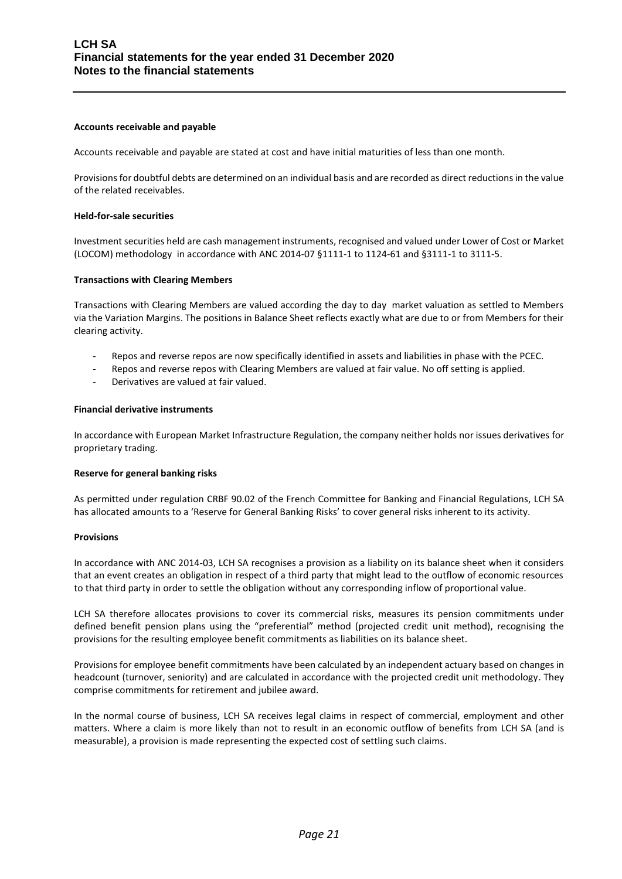#### **Accounts receivable and payable**

Accounts receivable and payable are stated at cost and have initial maturities of less than one month.

Provisionsfor doubtful debts are determined on an individual basis and are recorded as direct reductions in the value of the related receivables.

#### **Held-for-sale securities**

Investment securities held are cash management instruments, recognised and valued under Lower of Cost or Market (LOCOM) methodology in accordance with ANC 2014-07 §1111-1 to 1124-61 and §3111-1 to 3111-5.

#### **Transactions with Clearing Members**

Transactions with Clearing Members are valued according the day to day market valuation as settled to Members via the Variation Margins. The positions in Balance Sheet reflects exactly what are due to or from Members for their clearing activity.

- Repos and reverse repos are now specifically identified in assets and liabilities in phase with the PCEC.
- Repos and reverse repos with Clearing Members are valued at fair value. No off setting is applied.
- Derivatives are valued at fair valued.

#### **Financial derivative instruments**

In accordance with European Market Infrastructure Regulation, the company neither holds nor issues derivatives for proprietary trading.

#### **Reserve for general banking risks**

As permitted under regulation CRBF 90.02 of the French Committee for Banking and Financial Regulations, LCH SA has allocated amounts to a 'Reserve for General Banking Risks' to cover general risks inherent to its activity.

#### **Provisions**

In accordance with ANC 2014-03, LCH SA recognises a provision as a liability on its balance sheet when it considers that an event creates an obligation in respect of a third party that might lead to the outflow of economic resources to that third party in order to settle the obligation without any corresponding inflow of proportional value.

LCH SA therefore allocates provisions to cover its commercial risks, measures its pension commitments under defined benefit pension plans using the "preferential" method (projected credit unit method), recognising the provisions for the resulting employee benefit commitments as liabilities on its balance sheet.

Provisions for employee benefit commitments have been calculated by an independent actuary based on changes in headcount (turnover, seniority) and are calculated in accordance with the projected credit unit methodology. They comprise commitments for retirement and jubilee award.

In the normal course of business, LCH SA receives legal claims in respect of commercial, employment and other matters. Where a claim is more likely than not to result in an economic outflow of benefits from LCH SA (and is measurable), a provision is made representing the expected cost of settling such claims.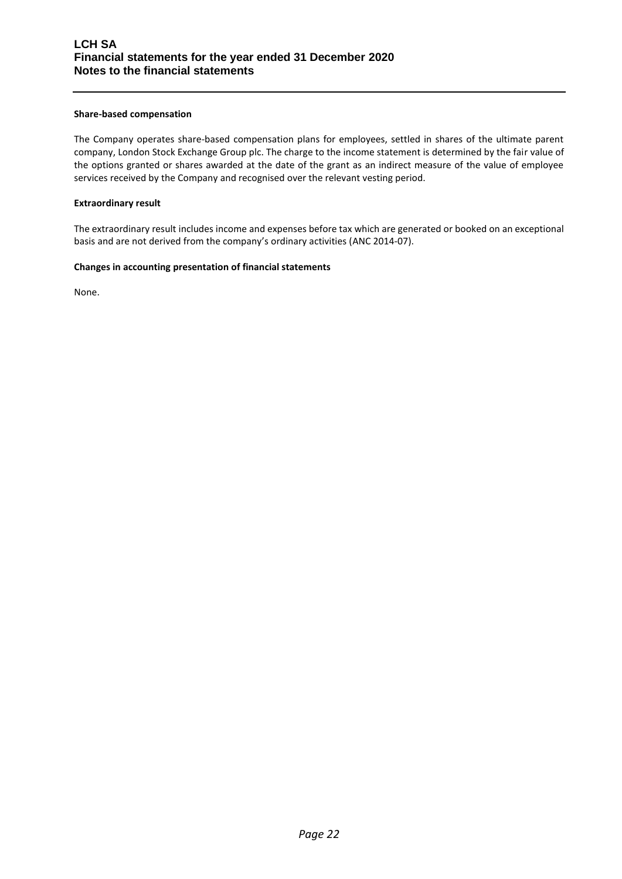#### **Share-based compensation**

The Company operates share-based compensation plans for employees, settled in shares of the ultimate parent company, London Stock Exchange Group plc. The charge to the income statement is determined by the fair value of the options granted or shares awarded at the date of the grant as an indirect measure of the value of employee services received by the Company and recognised over the relevant vesting period.

#### **Extraordinary result**

The extraordinary result includes income and expenses before tax which are generated or booked on an exceptional basis and are not derived from the company's ordinary activities (ANC 2014-07).

#### **Changes in accounting presentation of financial statements**

None.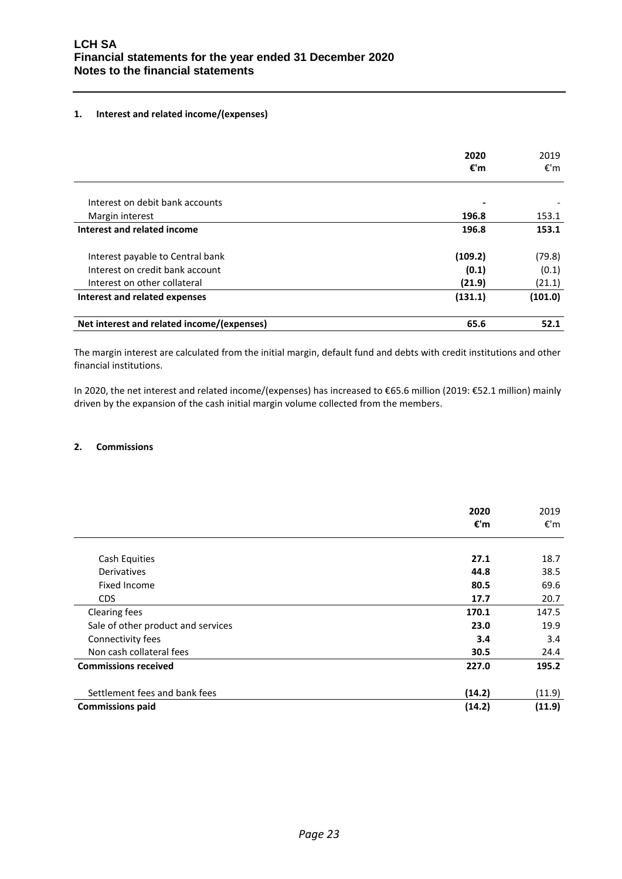## **1. Interest and related income/(expenses)**

|                                            | 2020<br>€'m | 2019<br>€'m |
|--------------------------------------------|-------------|-------------|
|                                            |             |             |
| Interest on debit bank accounts            |             |             |
| Margin interest                            | 196.8       | 153.1       |
| Interest and related income                | 196.8       | 153.1       |
| Interest payable to Central bank           | (109.2)     | (79.8)      |
| Interest on credit bank account            | (0.1)       | (0.1)       |
| Interest on other collateral               | (21.9)      | (21.1)      |
| Interest and related expenses              | (131.1)     | (101.0)     |
| Net interest and related income/(expenses) | 65.6        | 52.1        |

The margin interest are calculated from the initial margin, default fund and debts with credit institutions and other financial institutions.

In 2020, the net interest and related income/(expenses) has increased to €65.6 million (2019: €52.1 million) mainly driven by the expansion of the cash initial margin volume collected from the members.

## **2. Commissions**

|                                    | 2020<br>€'m | 2019<br>€'m |
|------------------------------------|-------------|-------------|
|                                    |             |             |
| Cash Equities                      | 27.1        | 18.7        |
| Derivatives                        | 44.8        | 38.5        |
| Fixed Income                       | 80.5        | 69.6        |
| CDS                                | 17.7        | 20.7        |
| Clearing fees                      | 170.1       | 147.5       |
| Sale of other product and services | 23.0        | 19.9        |
| Connectivity fees                  | 3.4         | 3.4         |
| Non cash collateral fees           | 30.5        | 24.4        |
| <b>Commissions received</b>        | 227.0       | 195.2       |
| Settlement fees and bank fees      | (14.2)      | (11.9)      |
| <b>Commissions paid</b>            | (14.2)      | (11.9)      |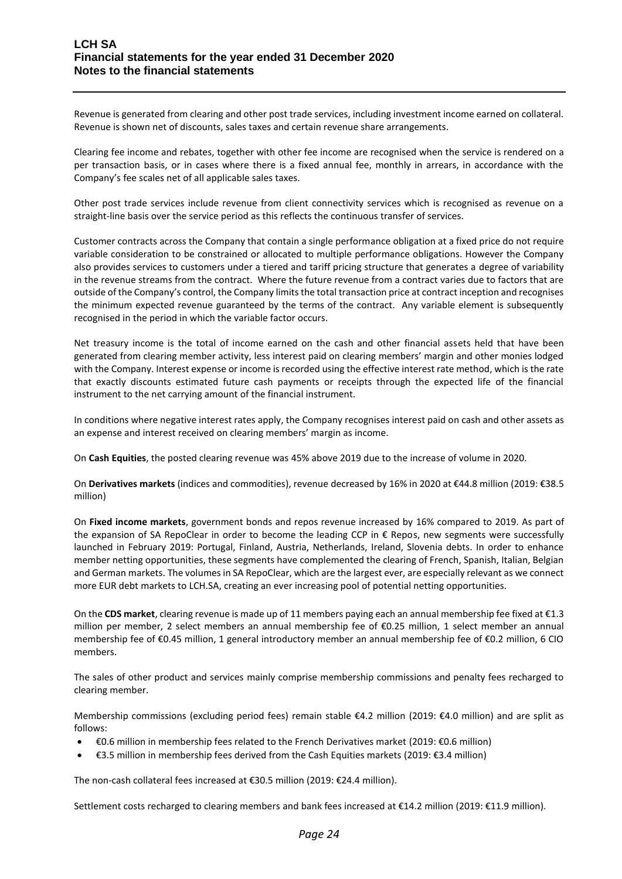Revenue is generated from clearing and other post trade services, including investment income earned on collateral. Revenue is shown net of discounts, sales taxes and certain revenue share arrangements.

Clearing fee income and rebates, together with other fee income are recognised when the service is rendered on a per transaction basis, or in cases where there is a fixed annual fee, monthly in arrears, in accordance with the Company's fee scales net of all applicable sales taxes.

Other post trade services include revenue from client connectivity services which is recognised as revenue on a straight-line basis over the service period as this reflects the continuous transfer of services.

Customer contracts across the Company that contain a single performance obligation at a fixed price do not require variable consideration to be constrained or allocated to multiple performance obligations. However the Company also provides services to customers under a tiered and tariff pricing structure that generates a degree of variability in the revenue streams from the contract. Where the future revenue from a contract varies due to factors that are outside of the Company's control, the Company limits the total transaction price at contract inception and recognises the minimum expected revenue guaranteed by the terms of the contract. Any variable element is subsequently recognised in the period in which the variable factor occurs.

Net treasury income is the total of income earned on the cash and other financial assets held that have been generated from clearing member activity, less interest paid on clearing members' margin and other monies lodged with the Company. Interest expense or income is recorded using the effective interest rate method, which is the rate that exactly discounts estimated future cash payments or receipts through the expected life of the financial instrument to the net carrying amount of the financial instrument.

In conditions where negative interest rates apply, the Company recognises interest paid on cash and other assets as an expense and interest received on clearing members' margin as income.

On **Cash Equities**, the posted clearing revenue was 45% above 2019 due to the increase of volume in 2020.

On **Derivatives markets** (indices and commodities), revenue decreased by 16% in 2020 at €44.8 million (2019: €38.5 million)

On **Fixed income markets**, government bonds and repos revenue increased by 16% compared to 2019. As part of the expansion of SA RepoClear in order to become the leading CCP in € Repos, new segments were successfully launched in February 2019: Portugal, Finland, Austria, Netherlands, Ireland, Slovenia debts. In order to enhance member netting opportunities, these segments have complemented the clearing of French, Spanish, Italian, Belgian and German markets. The volumes in SA RepoClear, which are the largest ever, are especially relevant as we connect more EUR debt markets to LCH.SA, creating an ever increasing pool of potential netting opportunities.

On the **CDS market**, clearing revenue is made up of 11 members paying each an annual membership fee fixed at €1.3 million per member, 2 select members an annual membership fee of €0.25 million, 1 select member an annual membership fee of €0.45 million, 1 general introductory member an annual membership fee of €0.2 million, 6 CIO members.

The sales of other product and services mainly comprise membership commissions and penalty fees recharged to clearing member.

Membership commissions (excluding period fees) remain stable €4.2 million (2019: €4.0 million) and are split as follows:

- €0.6 million in membership fees related to the French Derivatives market (2019: €0.6 million)
- €3.5 million in membership fees derived from the Cash Equities markets (2019: €3.4 million)

The non-cash collateral fees increased at €30.5 million (2019: €24.4 million).

Settlement costs recharged to clearing members and bank fees increased at €14.2 million (2019: €11.9 million).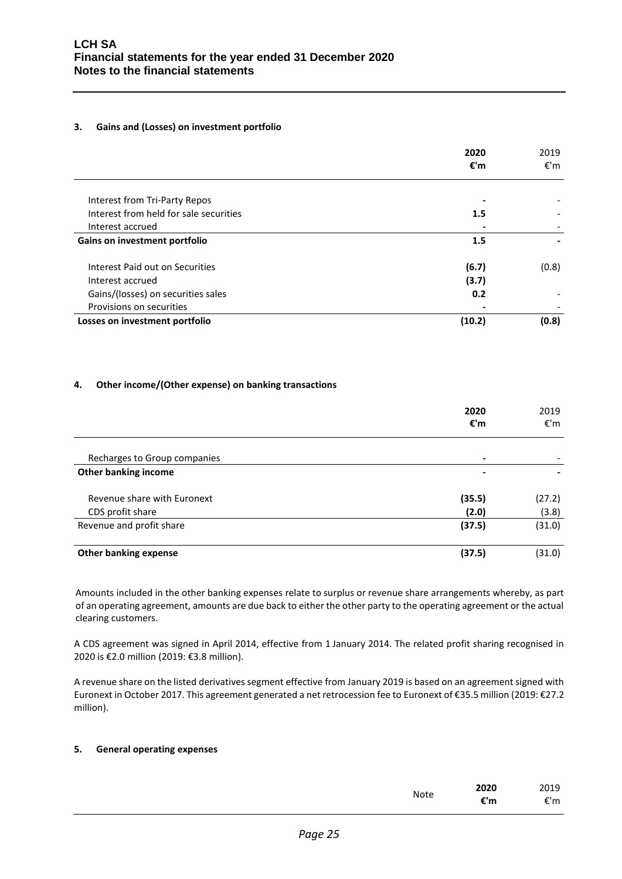## **3. Gains and (Losses) on investment portfolio**

|                                        | 2020<br>€'m | 2019<br>€'m |
|----------------------------------------|-------------|-------------|
| Interest from Tri-Party Repos          |             |             |
| Interest from held for sale securities | 1.5         |             |
| Interest accrued                       |             |             |
| Gains on investment portfolio          | 1.5         |             |
| Interest Paid out on Securities        | (6.7)       | (0.8)       |
| Interest accrued                       | (3.7)       |             |
| Gains/(losses) on securities sales     | 0.2         |             |
| Provisions on securities               |             |             |
| Losses on investment portfolio         | (10.2)      | (0.8)       |

## **4. Other income/(Other expense) on banking transactions**

|                              | 2020<br>€'m | 2019<br>€'m |
|------------------------------|-------------|-------------|
| Recharges to Group companies | -           |             |
| <b>Other banking income</b>  | -           |             |
| Revenue share with Euronext  | (35.5)      | (27.2)      |
| CDS profit share             | (2.0)       | (3.8)       |
| Revenue and profit share     | (37.5)      | (31.0)      |
| <b>Other banking expense</b> | (37.5)      | (31.0)      |

Amounts included in the other banking expenses relate to surplus or revenue share arrangements whereby, as part of an operating agreement, amounts are due back to either the other party to the operating agreement or the actual clearing customers.

A CDS agreement was signed in April 2014, effective from 1 January 2014. The related profit sharing recognised in 2020 is €2.0 million (2019: €3.8 million).

A revenue share on the listed derivatives segment effective from January 2019 is based on an agreement signed with Euronext in October 2017. This agreement generated a net retrocession fee to Euronext of €35.5 million (2019: €27.2 million).

## **5. General operating expenses**

|             | 2020 | 2019 |
|-------------|------|------|
| <b>Note</b> | €'m  | €'m  |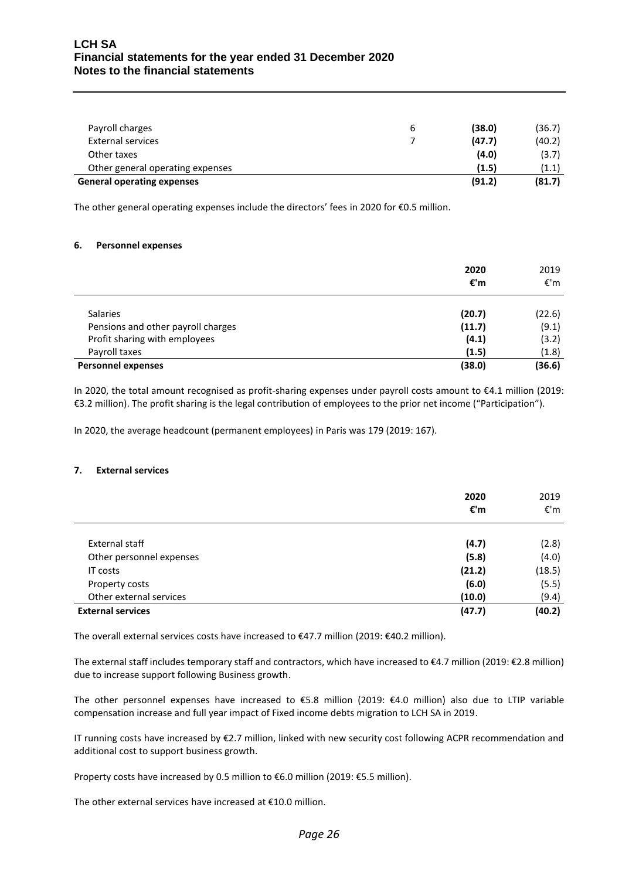## **LCH SA Financial statements for the year ended 31 December 2020 Notes to the financial statements**

| <b>General operating expenses</b> |   | (91.2) | (81.7) |
|-----------------------------------|---|--------|--------|
| Other general operating expenses  |   | (1.5)  | (1.1)  |
| Other taxes                       |   | (4.0)  | (3.7)  |
| <b>External services</b>          |   | (47.7) | (40.2) |
| Payroll charges                   | b | (38.0) | (36.7) |
|                                   |   |        |        |

The other general operating expenses include the directors' fees in 2020 for €0.5 million.

#### **6. Personnel expenses**

|                                    | 2020<br>€'m | 2019<br>€'m |
|------------------------------------|-------------|-------------|
| <b>Salaries</b>                    | (20.7)      | (22.6)      |
| Pensions and other payroll charges | (11.7)      | (9.1)       |
| Profit sharing with employees      | (4.1)       | (3.2)       |
| Payroll taxes                      | (1.5)       | (1.8)       |
| <b>Personnel expenses</b>          | (38.0)      | (36.6)      |

In 2020, the total amount recognised as profit-sharing expenses under payroll costs amount to €4.1 million (2019: €3.2 million). The profit sharing is the legal contribution of employees to the prior net income ("Participation").

In 2020, the average headcount (permanent employees) in Paris was 179 (2019: 167).

#### **7. External services**

|                          | 2020<br>€'m | 2019<br>€'m |
|--------------------------|-------------|-------------|
| External staff           | (4.7)       | (2.8)       |
| Other personnel expenses | (5.8)       | (4.0)       |
| IT costs                 | (21.2)      | (18.5)      |
| Property costs           | (6.0)       | (5.5)       |
| Other external services  | (10.0)      | (9.4)       |
| <b>External services</b> | (47.7)      | (40.2)      |

The overall external services costs have increased to €47.7 million (2019: €40.2 million).

The external staff includes temporary staff and contractors, which have increased to €4.7 million (2019: €2.8 million) due to increase support following Business growth.

The other personnel expenses have increased to €5.8 million (2019: €4.0 million) also due to LTIP variable compensation increase and full year impact of Fixed income debts migration to LCH SA in 2019.

IT running costs have increased by €2.7 million, linked with new security cost following ACPR recommendation and additional cost to support business growth.

Property costs have increased by 0.5 million to €6.0 million (2019: €5.5 million).

The other external services have increased at €10.0 million.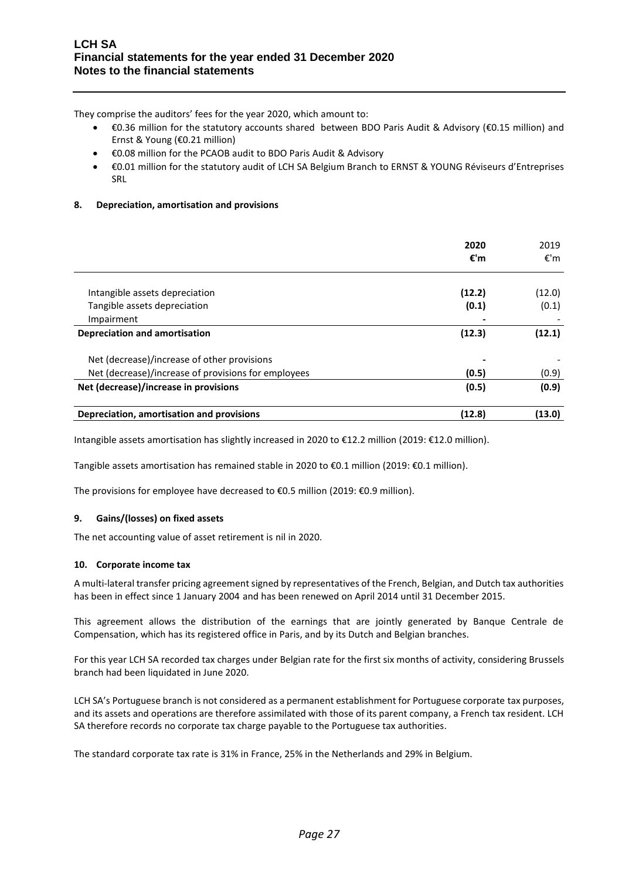They comprise the auditors' fees for the year 2020, which amount to:

- €0.36 million for the statutory accounts shared between BDO Paris Audit & Advisory (€0.15 million) and Ernst & Young (€0.21 million)
- €0.08 million for the PCAOB audit to BDO Paris Audit & Advisory
- €0.01 million for the statutory audit of LCH SA Belgium Branch to ERNST & YOUNG Réviseurs d'Entreprises SRL

## **8. Depreciation, amortisation and provisions**

|                                                     | 2020<br>€'m | 2019<br>€'m |
|-----------------------------------------------------|-------------|-------------|
| Intangible assets depreciation                      | (12.2)      | (12.0)      |
| Tangible assets depreciation                        | (0.1)       | (0.1)       |
| Impairment                                          |             |             |
| <b>Depreciation and amortisation</b>                | (12.3)      | (12.1)      |
| Net (decrease)/increase of other provisions         |             |             |
| Net (decrease)/increase of provisions for employees | (0.5)       | (0.9)       |
| Net (decrease)/increase in provisions               | (0.5)       | (0.9)       |
| Depreciation, amortisation and provisions           | (12.8)      | (13.0)      |

Intangible assets amortisation has slightly increased in 2020 to €12.2 million (2019: €12.0 million).

Tangible assets amortisation has remained stable in 2020 to €0.1 million (2019: €0.1 million).

The provisions for employee have decreased to €0.5 million (2019: €0.9 million).

## **9. Gains/(losses) on fixed assets**

The net accounting value of asset retirement is nil in 2020.

#### **10. Corporate income tax**

A multi-lateral transfer pricing agreement signed by representatives of the French, Belgian, and Dutch tax authorities has been in effect since 1 January 2004 and has been renewed on April 2014 until 31 December 2015.

This agreement allows the distribution of the earnings that are jointly generated by Banque Centrale de Compensation, which has its registered office in Paris, and by its Dutch and Belgian branches.

For this year LCH SA recorded tax charges under Belgian rate for the first six months of activity, considering Brussels branch had been liquidated in June 2020.

LCH SA's Portuguese branch is not considered as a permanent establishment for Portuguese corporate tax purposes, and its assets and operations are therefore assimilated with those of its parent company, a French tax resident. LCH SA therefore records no corporate tax charge payable to the Portuguese tax authorities.

The standard corporate tax rate is 31% in France, 25% in the Netherlands and 29% in Belgium.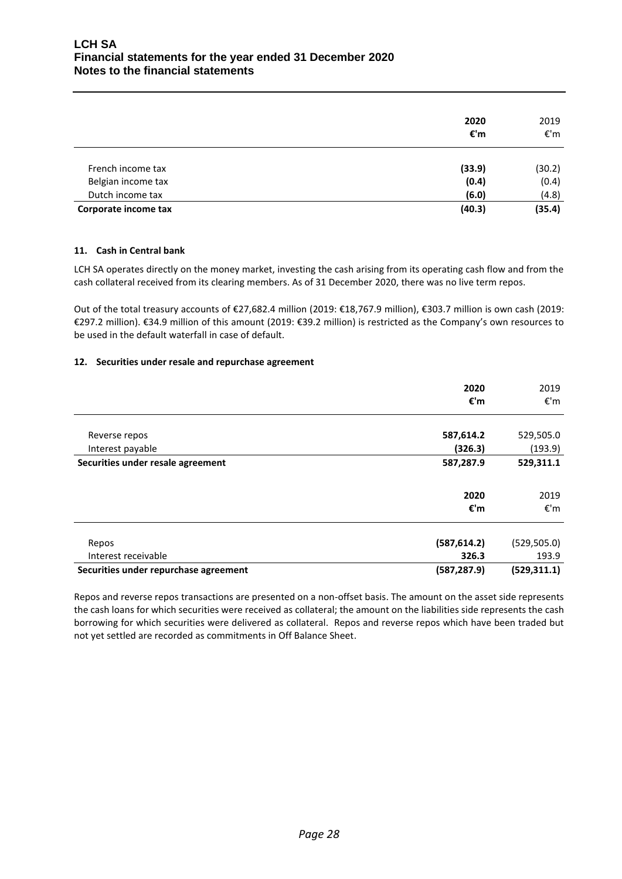|                      | 2020<br>€'m | 2019<br>€'m |
|----------------------|-------------|-------------|
| French income tax    | (33.9)      | (30.2)      |
| Belgian income tax   | (0.4)       | (0.4)       |
| Dutch income tax     | (6.0)       | (4.8)       |
| Corporate income tax | (40.3)      | (35.4)      |

## **11. Cash in Central bank**

LCH SA operates directly on the money market, investing the cash arising from its operating cash flow and from the cash collateral received from its clearing members. As of 31 December 2020, there was no live term repos.

Out of the total treasury accounts of €27,682.4 million (2019: €18,767.9 million), €303.7 million is own cash (2019: €297.2 million). €34.9 million of this amount (2019: €39.2 million) is restricted as the Company's own resources to be used in the default waterfall in case of default.

## **12. Securities under resale and repurchase agreement**

|                                       | 2020         | 2019         |
|---------------------------------------|--------------|--------------|
|                                       | €'m          | €'m          |
|                                       |              |              |
| Reverse repos                         | 587,614.2    | 529,505.0    |
| Interest payable                      | (326.3)      | (193.9)      |
| Securities under resale agreement     | 587,287.9    | 529,311.1    |
|                                       |              |              |
|                                       | 2020         | 2019         |
|                                       | €'m          | €'m          |
|                                       |              |              |
| Repos                                 | (587, 614.2) | (529, 505.0) |
| Interest receivable                   | 326.3        | 193.9        |
| Securities under repurchase agreement | (587, 287.9) | (529, 311.1) |

Repos and reverse repos transactions are presented on a non-offset basis. The amount on the asset side represents the cash loans for which securities were received as collateral; the amount on the liabilities side represents the cash borrowing for which securities were delivered as collateral. Repos and reverse repos which have been traded but not yet settled are recorded as commitments in Off Balance Sheet.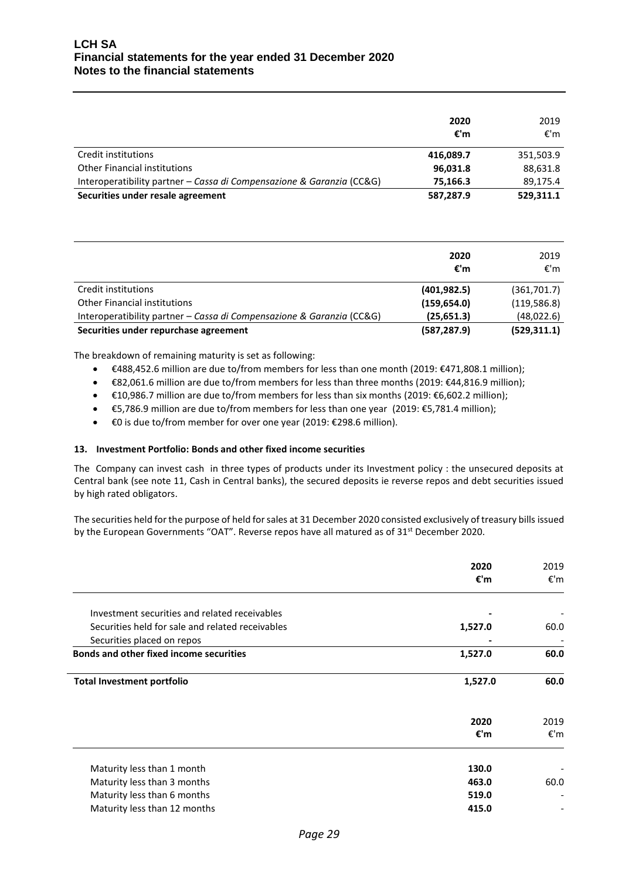|                                                                       | 2020<br>€'m | 2019<br>€'m |
|-----------------------------------------------------------------------|-------------|-------------|
| Credit institutions                                                   | 416,089.7   | 351,503.9   |
| <b>Other Financial institutions</b>                                   | 96,031.8    | 88,631.8    |
| Interoperatibility partner - Cassa di Compensazione & Garanzia (CC&G) | 75.166.3    | 89.175.4    |
| Securities under resale agreement                                     | 587,287.9   | 529,311.1   |

|                                                                       | 2020<br>€'m  | 2019<br>€'m  |
|-----------------------------------------------------------------------|--------------|--------------|
| Credit institutions                                                   | (401, 982.5) | (361,701.7)  |
| <b>Other Financial institutions</b>                                   | (159, 654.0) | (119, 586.8) |
| Interoperatibility partner - Cassa di Compensazione & Garanzia (CC&G) | (25, 651.3)  | (48,022.6)   |
| Securities under repurchase agreement                                 | (587, 287.9) | (529, 311.1) |

The breakdown of remaining maturity is set as following:

- €488,452.6 million are due to/from members for less than one month (2019: €471,808.1 million);
- €82,061.6 million are due to/from members for less than three months (2019: €44,816.9 million);
- €10,986.7 million are due to/from members for less than six months (2019: €6,602.2 million);
- €5,786.9 million are due to/from members for less than one year (2019: €5,781.4 million);
- €0 is due to/from member for over one year (2019: €298.6 million).

#### **13. Investment Portfolio: Bonds and other fixed income securities**

The Company can invest cash in three types of products under its Investment policy : the unsecured deposits at Central bank (see note 11, Cash in Central banks), the secured deposits ie reverse repos and debt securities issued by high rated obligators.

The securities held for the purpose of held for sales at 31 December 2020 consisted exclusively of treasury bills issued by the European Governments "OAT". Reverse repos have all matured as of 31<sup>st</sup> December 2020.

|                                                  | 2020<br>€'m | 2019<br>€'m |
|--------------------------------------------------|-------------|-------------|
|                                                  |             |             |
| Investment securities and related receivables    |             |             |
| Securities held for sale and related receivables | 1,527.0     | 60.0        |
| Securities placed on repos                       |             |             |
| <b>Bonds and other fixed income securities</b>   | 1,527.0     | 60.0        |
| <b>Total Investment portfolio</b>                | 1,527.0     | 60.0        |
|                                                  | 2020        | 2019        |
|                                                  | €'m         | €'m         |
| Maturity less than 1 month                       | 130.0       |             |
| Maturity less than 3 months                      | 463.0       | 60.0        |
| Maturity less than 6 months                      | 519.0       |             |
|                                                  |             |             |
| Maturity less than 12 months                     | 415.0       |             |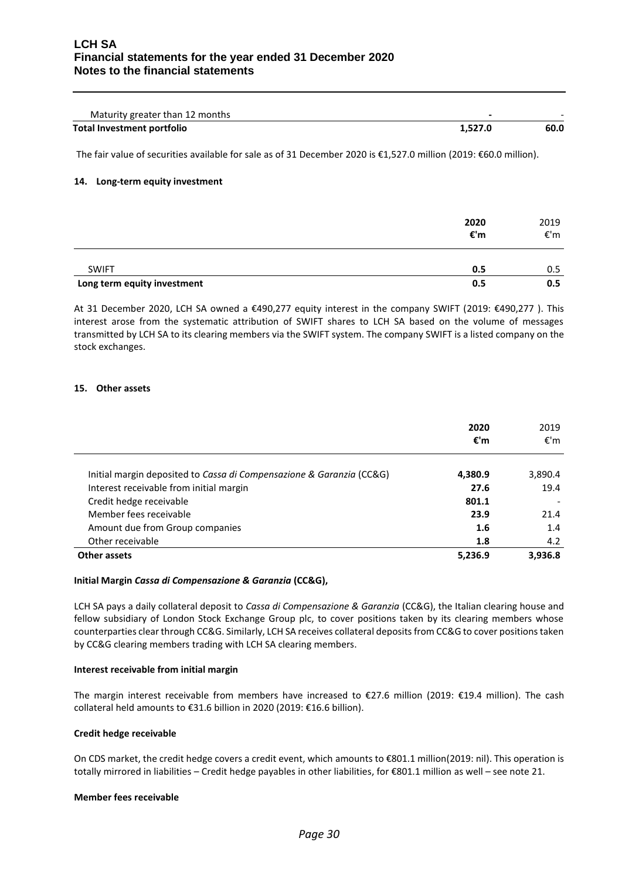| Maturity greater than 12 months |         |      |
|---------------------------------|---------|------|
| Total Investment portfolio      | 1.527.0 | 60.0 |

The fair value of securities available for sale as of 31 December 2020 is €1,527.0 million (2019: €60.0 million).

#### **14. Long-term equity investment**

|                             | 2020<br>€'m | 2019<br>€'m |
|-----------------------------|-------------|-------------|
| <b>SWIFT</b>                | 0.5         | 0.5         |
| Long term equity investment | 0.5         | 0.5         |

At 31 December 2020, LCH SA owned a €490,277 equity interest in the company SWIFT (2019: €490,277 ). This interest arose from the systematic attribution of SWIFT shares to LCH SA based on the volume of messages transmitted by LCH SA to its clearing members via the SWIFT system. The company SWIFT is a listed company on the stock exchanges.

#### **15. Other assets**

|                                                                      | 2020<br>€'m | 2019<br>€'m |
|----------------------------------------------------------------------|-------------|-------------|
| Initial margin deposited to Cassa di Compensazione & Garanzia (CC&G) | 4,380.9     | 3,890.4     |
| Interest receivable from initial margin                              | 27.6        | 19.4        |
| Credit hedge receivable                                              | 801.1       |             |
| Member fees receivable                                               | 23.9        | 21.4        |
| Amount due from Group companies                                      | 1.6         | 1.4         |
| Other receivable                                                     | 1.8         | 4.2         |
| <b>Other assets</b>                                                  | 5,236.9     | 3,936.8     |

#### **Initial Margin** *Cassa di Compensazione & Garanzia* **(CC&G),**

LCH SA pays a daily collateral deposit to *Cassa di Compensazione & Garanzia* (CC&G), the Italian clearing house and fellow subsidiary of London Stock Exchange Group plc, to cover positions taken by its clearing members whose counterparties clear through CC&G. Similarly, LCH SA receives collateral deposits from CC&G to cover positions taken by CC&G clearing members trading with LCH SA clearing members.

#### **Interest receivable from initial margin**

The margin interest receivable from members have increased to €27.6 million (2019: €19.4 million). The cash collateral held amounts to €31.6 billion in 2020 (2019: €16.6 billion).

#### **Credit hedge receivable**

On CDS market, the credit hedge covers a credit event, which amounts to €801.1 million(2019: nil). This operation is totally mirrored in liabilities – Credit hedge payables in other liabilities, for €801.1 million as well – see note 21.

#### **Member fees receivable**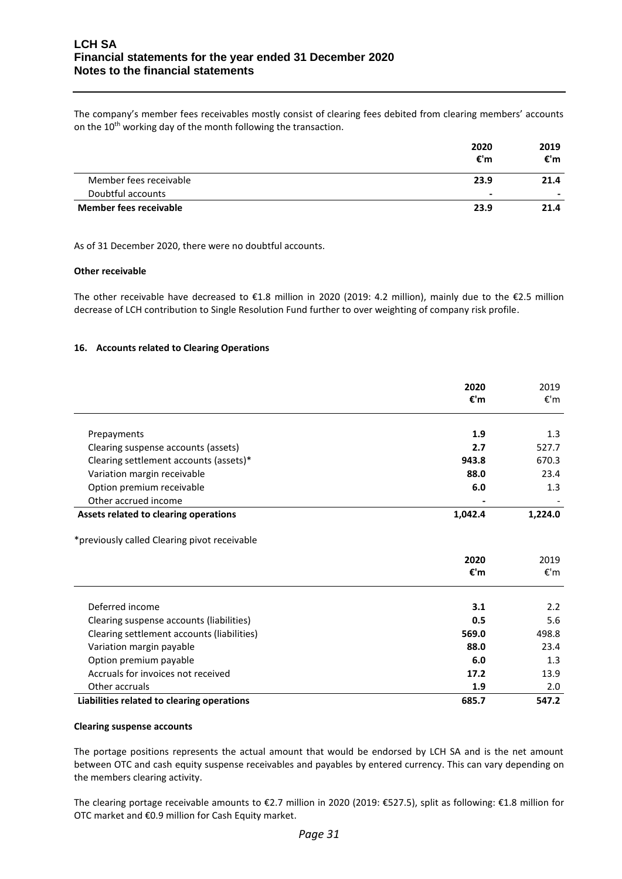The company's member fees receivables mostly consist of clearing fees debited from clearing members' accounts on the 10<sup>th</sup> working day of the month following the transaction.

|                               | 2020           | 2019 |
|-------------------------------|----------------|------|
|                               | €'m            | €'m  |
| Member fees receivable        | 23.9           | 21.4 |
| Doubtful accounts             | $\blacksquare$ |      |
| <b>Member fees receivable</b> | 23.9           | 21.4 |

As of 31 December 2020, there were no doubtful accounts.

#### **Other receivable**

The other receivable have decreased to €1.8 million in 2020 (2019: 4.2 million), mainly due to the €2.5 million decrease of LCH contribution to Single Resolution Fund further to over weighting of company risk profile.

## **16. Accounts related to Clearing Operations**

|                                              | 2020    | 2019    |
|----------------------------------------------|---------|---------|
|                                              | €'m     | €'m     |
|                                              |         |         |
| Prepayments                                  | 1.9     | 1.3     |
| Clearing suspense accounts (assets)          | 2.7     | 527.7   |
| Clearing settlement accounts (assets)*       | 943.8   | 670.3   |
| Variation margin receivable                  | 88.0    | 23.4    |
| Option premium receivable                    | 6.0     | 1.3     |
| Other accrued income                         |         |         |
| Assets related to clearing operations        | 1,042.4 | 1,224.0 |
| *previously called Clearing pivot receivable |         |         |
|                                              | 2020    | 2019    |
|                                              | €'m     | €'m     |
| Deferred income                              | 3.1     | 2.2     |
| Clearing suspense accounts (liabilities)     | 0.5     | 5.6     |
| Clearing settlement accounts (liabilities)   | 569.0   | 498.8   |
| Variation margin payable                     | 88.0    | 23.4    |
| Option premium payable                       | 6.0     | 1.3     |
| Accruals for invoices not received           | 17.2    | 13.9    |
| Other accruals                               | 1.9     | 2.0     |
| Liabilities related to clearing operations   | 685.7   | 547.2   |

#### **Clearing suspense accounts**

The portage positions represents the actual amount that would be endorsed by LCH SA and is the net amount between OTC and cash equity suspense receivables and payables by entered currency. This can vary depending on the members clearing activity.

The clearing portage receivable amounts to €2.7 million in 2020 (2019: €527.5), split as following: €1.8 million for OTC market and €0.9 million for Cash Equity market.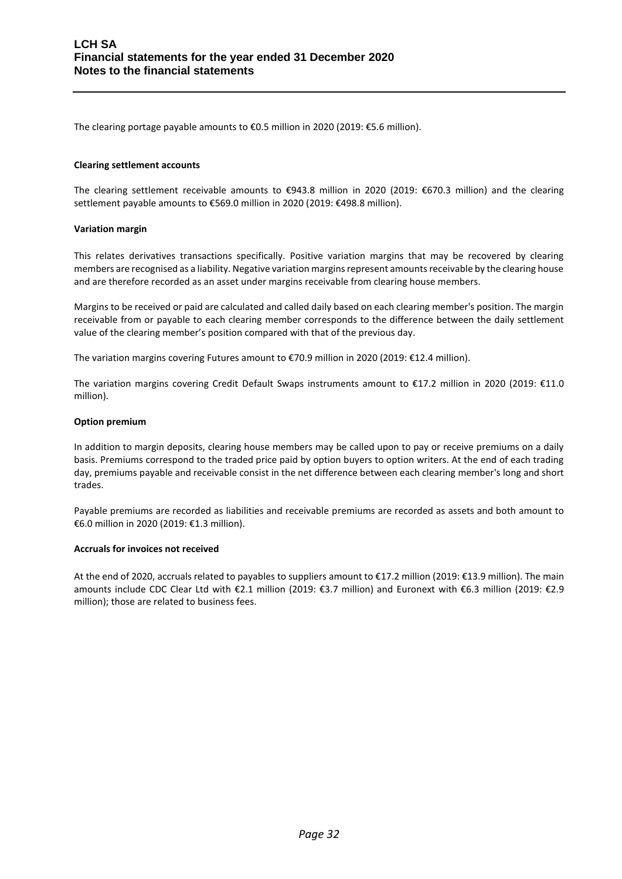The clearing portage payable amounts to €0.5 million in 2020 (2019: €5.6 million).

#### **Clearing settlement accounts**

The clearing settlement receivable amounts to €943.8 million in 2020 (2019: €670.3 million) and the clearing settlement payable amounts to €569.0 million in 2020 (2019: €498.8 million).

#### **Variation margin**

This relates derivatives transactions specifically. Positive variation margins that may be recovered by clearing members are recognised as a liability. Negative variation margins represent amounts receivable by the clearing house and are therefore recorded as an asset under margins receivable from clearing house members.

Margins to be received or paid are calculated and called daily based on each clearing member's position. The margin receivable from or payable to each clearing member corresponds to the difference between the daily settlement value of the clearing member's position compared with that of the previous day.

The variation margins covering Futures amount to €70.9 million in 2020 (2019: €12.4 million).

The variation margins covering Credit Default Swaps instruments amount to €17.2 million in 2020 (2019: €11.0 million).

#### **Option premium**

In addition to margin deposits, clearing house members may be called upon to pay or receive premiums on a daily basis. Premiums correspond to the traded price paid by option buyers to option writers. At the end of each trading day, premiums payable and receivable consist in the net difference between each clearing member's long and short trades.

Payable premiums are recorded as liabilities and receivable premiums are recorded as assets and both amount to €6.0 million in 2020 (2019: €1.3 million).

## **Accruals for invoices not received**

At the end of 2020, accruals related to payables to suppliers amount to €17.2 million (2019: €13.9 million). The main amounts include CDC Clear Ltd with €2.1 million (2019: €3.7 million) and Euronext with €6.3 million (2019: €2.9 million); those are related to business fees.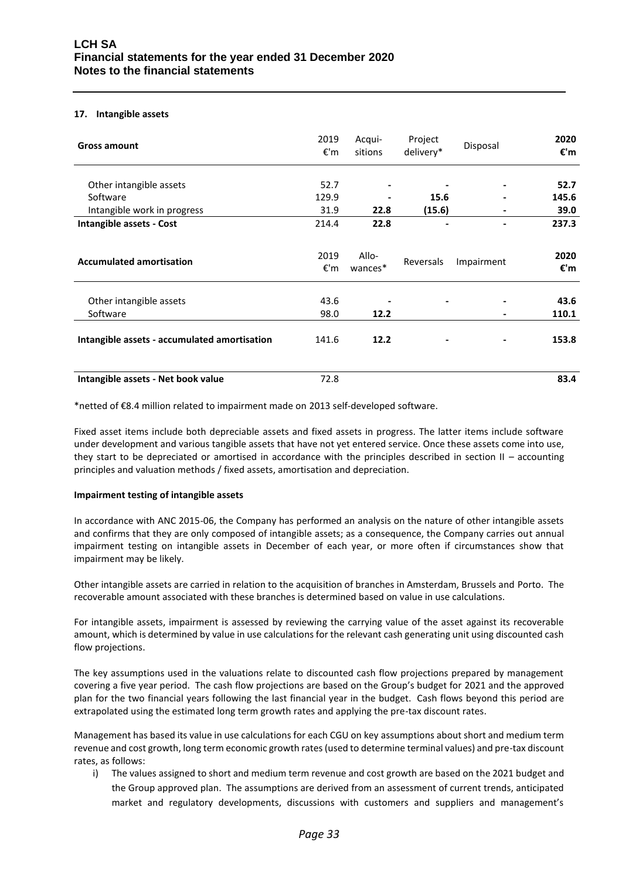## **17. Intangible assets**

| <b>Gross amount</b>                          | 2019<br>€'m | Acqui-<br>sitions            | Project<br>delivery* | Disposal   | 2020<br>€'m |
|----------------------------------------------|-------------|------------------------------|----------------------|------------|-------------|
| Other intangible assets                      | 52.7        | ٠                            |                      |            | 52.7        |
| Software                                     | 129.9       |                              | 15.6                 |            | 145.6       |
| Intangible work in progress                  | 31.9        | 22.8                         | (15.6)               |            | 39.0        |
| Intangible assets - Cost                     | 214.4       | 22.8                         |                      |            | 237.3       |
| <b>Accumulated amortisation</b>              | 2019<br>€'m | Allo-<br>wances <sup>*</sup> | Reversals            | Impairment | 2020<br>€'m |
| Other intangible assets                      | 43.6        |                              |                      |            | 43.6        |
| Software                                     | 98.0        | 12.2                         |                      |            | 110.1       |
| Intangible assets - accumulated amortisation | 141.6       | 12.2                         |                      |            | 153.8       |
| Intangible assets - Net book value           | 72.8        |                              |                      |            | 83.4        |

\*netted of €8.4 million related to impairment made on 2013 self-developed software.

Fixed asset items include both depreciable assets and fixed assets in progress. The latter items include software under development and various tangible assets that have not yet entered service. Once these assets come into use, they start to be depreciated or amortised in accordance with the principles described in section  $II$  – accounting principles and valuation methods / fixed assets, amortisation and depreciation.

## **Impairment testing of intangible assets**

In accordance with ANC 2015-06, the Company has performed an analysis on the nature of other intangible assets and confirms that they are only composed of intangible assets; as a consequence, the Company carries out annual impairment testing on intangible assets in December of each year, or more often if circumstances show that impairment may be likely.

Other intangible assets are carried in relation to the acquisition of branches in Amsterdam, Brussels and Porto. The recoverable amount associated with these branches is determined based on value in use calculations.

For intangible assets, impairment is assessed by reviewing the carrying value of the asset against its recoverable amount, which is determined by value in use calculations for the relevant cash generating unit using discounted cash flow projections.

The key assumptions used in the valuations relate to discounted cash flow projections prepared by management covering a five year period. The cash flow projections are based on the Group's budget for 2021 and the approved plan for the two financial years following the last financial year in the budget. Cash flows beyond this period are extrapolated using the estimated long term growth rates and applying the pre-tax discount rates.

Management has based its value in use calculations for each CGU on key assumptions about short and medium term revenue and cost growth, long term economic growth rates (used to determine terminal values) and pre-tax discount rates, as follows:

i) The values assigned to short and medium term revenue and cost growth are based on the 2021 budget and the Group approved plan. The assumptions are derived from an assessment of current trends, anticipated market and regulatory developments, discussions with customers and suppliers and management's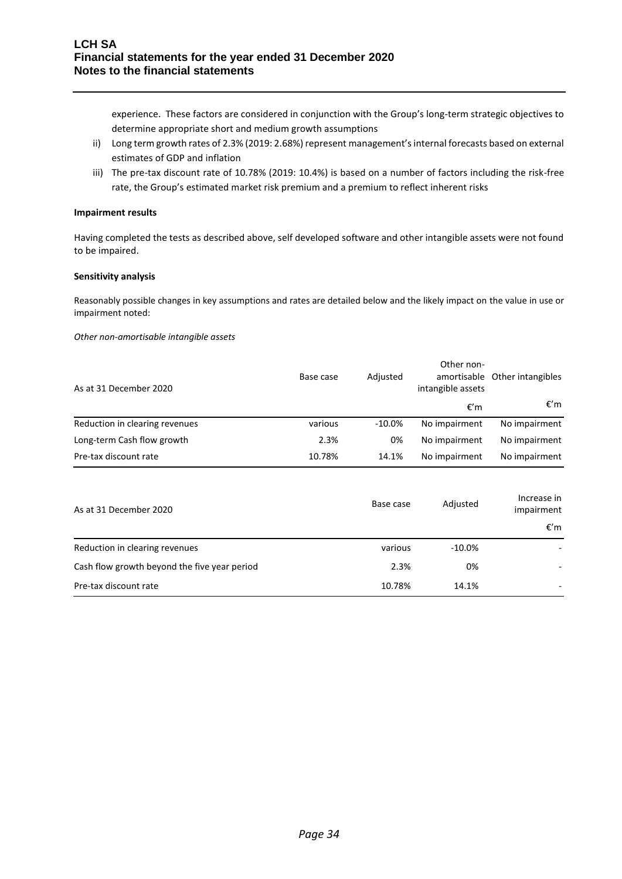experience. These factors are considered in conjunction with the Group's long-term strategic objectives to determine appropriate short and medium growth assumptions

- ii) Long term growth rates of 2.3% (2019: 2.68%) represent management's internal forecasts based on external estimates of GDP and inflation
- iii) The pre-tax discount rate of 10.78% (2019: 10.4%) is based on a number of factors including the risk-free rate, the Group's estimated market risk premium and a premium to reflect inherent risks

#### **Impairment results**

Having completed the tests as described above, self developed software and other intangible assets were not found to be impaired.

#### **Sensitivity analysis**

Reasonably possible changes in key assumptions and rates are detailed below and the likely impact on the value in use or impairment noted:

*Other non-amortisable intangible assets* 

| As at 31 December 2020         | Base case | Adjusted  | Other non-<br>intangible assets | amortisable Other intangibles |
|--------------------------------|-----------|-----------|---------------------------------|-------------------------------|
|                                |           |           | €′m                             | €′m                           |
| Reduction in clearing revenues | various   | $-10.0\%$ | No impairment                   | No impairment                 |
| Long-term Cash flow growth     | 2.3%      | 0%        | No impairment                   | No impairment                 |
| Pre-tax discount rate          | 10.78%    | 14.1%     | No impairment                   | No impairment                 |

| As at 31 December 2020                       | Base case | Adjusted  | Increase in<br>impairment |
|----------------------------------------------|-----------|-----------|---------------------------|
|                                              |           |           | €′m                       |
| Reduction in clearing revenues               | various   | $-10.0\%$ |                           |
| Cash flow growth beyond the five year period | 2.3%      | 0%        |                           |
| Pre-tax discount rate                        | 10.78%    | 14.1%     |                           |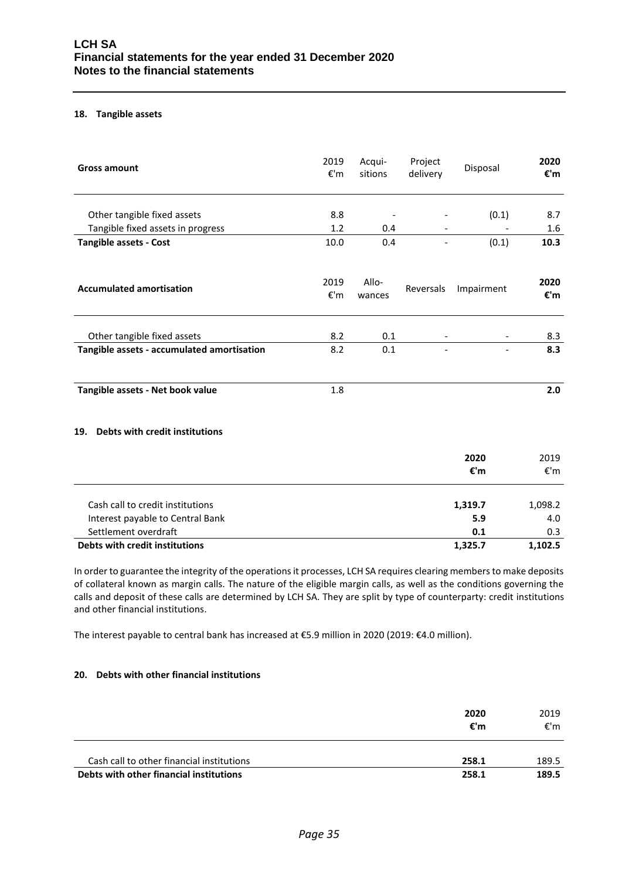#### **18. Tangible assets**

| <b>Gross amount</b>                        | 2019<br>€'m | Acqui-<br>sitions        | Project<br>delivery      | Disposal   | 2020<br>€'m                        |
|--------------------------------------------|-------------|--------------------------|--------------------------|------------|------------------------------------|
| Other tangible fixed assets                | 8.8         | $\overline{\phantom{a}}$ |                          | (0.1)      | 8.7                                |
| Tangible fixed assets in progress          | 1.2         | 0.4                      |                          |            | $1.6\,$                            |
| <b>Tangible assets - Cost</b>              | 10.0        | 0.4                      | $\overline{\phantom{0}}$ | (0.1)      | 10.3                               |
| <b>Accumulated amortisation</b>            | 2019<br>€'m | Allo-<br>wances          | Reversals                | Impairment | 2020<br>$\boldsymbol{\epsilon}$ 'm |
| Other tangible fixed assets                | 8.2         | 0.1                      |                          |            | 8.3                                |
| Tangible assets - accumulated amortisation | 8.2         | 0.1                      | $\overline{\phantom{a}}$ |            | 8.3                                |
| Tangible assets - Net book value           | 1.8         |                          |                          |            | 2.0                                |
| Debts with credit institutions<br>19.      |             |                          |                          |            |                                    |
|                                            |             |                          |                          | 2020       | 2019                               |
|                                            |             |                          |                          | €'m        | €'m                                |
| Cash call to credit institutions           |             |                          |                          | 1,319.7    | 1,098.2                            |
| Interest payable to Central Bank           |             |                          |                          | 5.9        | 4.0                                |
| Settlement overdraft                       |             |                          |                          | 0.1        | 0.3                                |

**Debts with credit institutions 1,325.7 1,102.5**

In order to guarantee the integrity of the operations it processes, LCH SA requires clearing members to make deposits of collateral known as margin calls. The nature of the eligible margin calls, as well as the conditions governing the calls and deposit of these calls are determined by LCH SA. They are split by type of counterparty: credit institutions and other financial institutions.

The interest payable to central bank has increased at €5.9 million in 2020 (2019: €4.0 million).

## **20. Debts with other financial institutions**

|                                           | 2020<br>€'m | 2019<br>€'m |
|-------------------------------------------|-------------|-------------|
| Cash call to other financial institutions | 258.1       | 189.5       |
| Debts with other financial institutions   | 258.1       | 189.5       |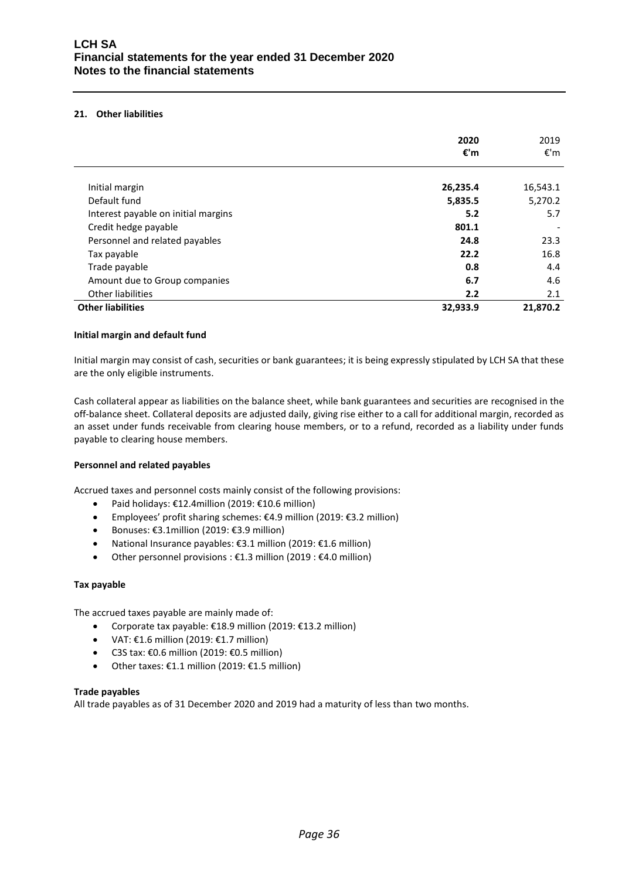## **21. Other liabilities**

|                                     | 2020<br>€'m | 2019<br>€'m |
|-------------------------------------|-------------|-------------|
|                                     |             |             |
| Initial margin                      | 26,235.4    | 16,543.1    |
| Default fund                        | 5,835.5     | 5,270.2     |
| Interest payable on initial margins | 5.2         | 5.7         |
| Credit hedge payable                | 801.1       |             |
| Personnel and related payables      | 24.8        | 23.3        |
| Tax payable                         | 22.2        | 16.8        |
| Trade payable                       | 0.8         | 4.4         |
| Amount due to Group companies       | 6.7         | 4.6         |
| Other liabilities                   | 2.2         | 2.1         |
| <b>Other liabilities</b>            | 32,933.9    | 21,870.2    |

## **Initial margin and default fund**

Initial margin may consist of cash, securities or bank guarantees; it is being expressly stipulated by LCH SA that these are the only eligible instruments.

Cash collateral appear as liabilities on the balance sheet, while bank guarantees and securities are recognised in the off-balance sheet. Collateral deposits are adjusted daily, giving rise either to a call for additional margin, recorded as an asset under funds receivable from clearing house members, or to a refund, recorded as a liability under funds payable to clearing house members.

## **Personnel and related payables**

Accrued taxes and personnel costs mainly consist of the following provisions:

- Paid holidays: €12.4million (2019: €10.6 million)
- Employees' profit sharing schemes: €4.9 million (2019: €3.2 million)
- Bonuses: €3.1million (2019: €3.9 million)
- National Insurance payables: €3.1 million (2019: €1.6 million)
- Other personnel provisions : €1.3 million (2019 : €4.0 million)

#### **Tax payable**

The accrued taxes payable are mainly made of:

- Corporate tax payable: €18.9 million (2019: €13.2 million)
- VAT:  $£1.6$  million (2019:  $£1.7$  million)
- C3S tax: €0.6 million (2019: €0.5 million)
- Other taxes: €1.1 million (2019: €1.5 million)

## **Trade payables**

All trade payables as of 31 December 2020 and 2019 had a maturity of less than two months.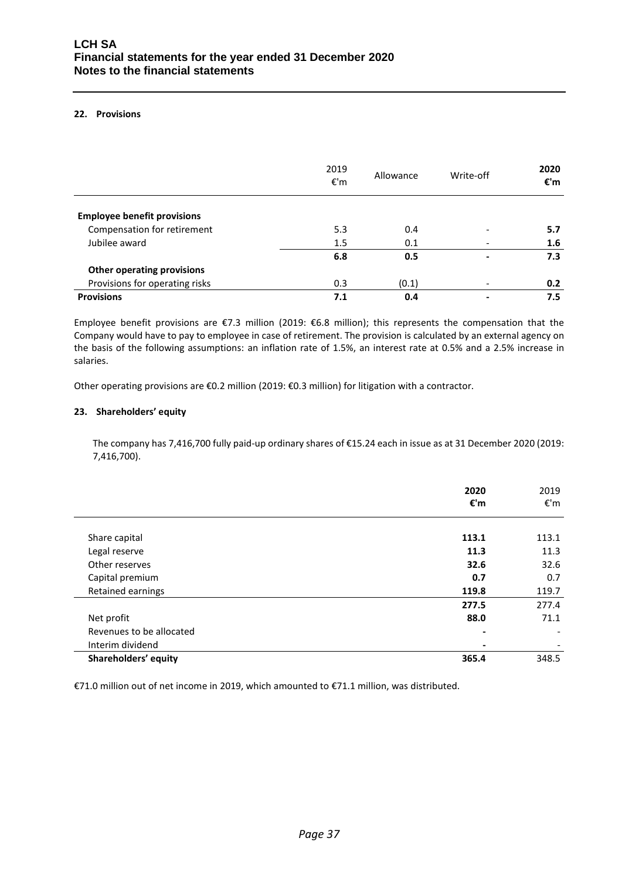## **22. Provisions**

|                                    | 2019<br>€'m | Allowance | Write-off | 2020<br>€'m |
|------------------------------------|-------------|-----------|-----------|-------------|
| <b>Employee benefit provisions</b> |             |           |           |             |
| Compensation for retirement        | 5.3         | 0.4       |           | 5.7         |
| Jubilee award                      | 1.5         | 0.1       |           | 1.6         |
|                                    | 6.8         | 0.5       |           | 7.3         |
| <b>Other operating provisions</b>  |             |           |           |             |
| Provisions for operating risks     | 0.3         | (0.1)     |           | 0.2         |
| <b>Provisions</b>                  | 7.1         | 0.4       |           | 7.5         |

Employee benefit provisions are €7.3 million (2019: €6.8 million); this represents the compensation that the Company would have to pay to employee in case of retirement. The provision is calculated by an external agency on the basis of the following assumptions: an inflation rate of 1.5%, an interest rate at 0.5% and a 2.5% increase in salaries.

Other operating provisions are €0.2 million (2019: €0.3 million) for litigation with a contractor.

## **23. Shareholders' equity**

The company has 7,416,700 fully paid-up ordinary shares of €15.24 each in issue as at 31 December 2020 (2019: 7,416,700).

|                          | 2020<br>€'m    | 2019<br>€'m |
|--------------------------|----------------|-------------|
|                          |                |             |
| Share capital            | 113.1          | 113.1       |
| Legal reserve            | 11.3           | 11.3        |
| Other reserves           | 32.6           | 32.6        |
| Capital premium          | 0.7            | 0.7         |
| Retained earnings        | 119.8          | 119.7       |
|                          | 277.5          | 277.4       |
| Net profit               | 88.0           | 71.1        |
| Revenues to be allocated | $\blacksquare$ |             |
| Interim dividend         | ۰              |             |
| Shareholders' equity     | 365.4          | 348.5       |

€71.0 million out of net income in 2019, which amounted to €71.1 million, was distributed.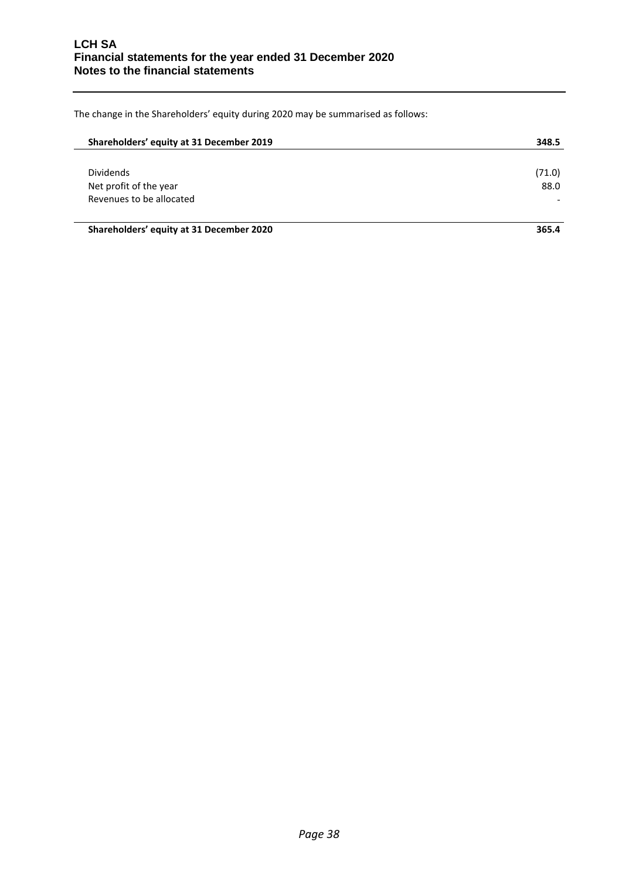The change in the Shareholders' equity during 2020 may be summarised as follows:

| Shareholders' equity at 31 December 2019 | 348.5  |
|------------------------------------------|--------|
|                                          |        |
| <b>Dividends</b>                         | (71.0) |
| Net profit of the year                   | 88.0   |
| Revenues to be allocated                 |        |
|                                          |        |

**Shareholders' equity at 31 December 2020 365.4**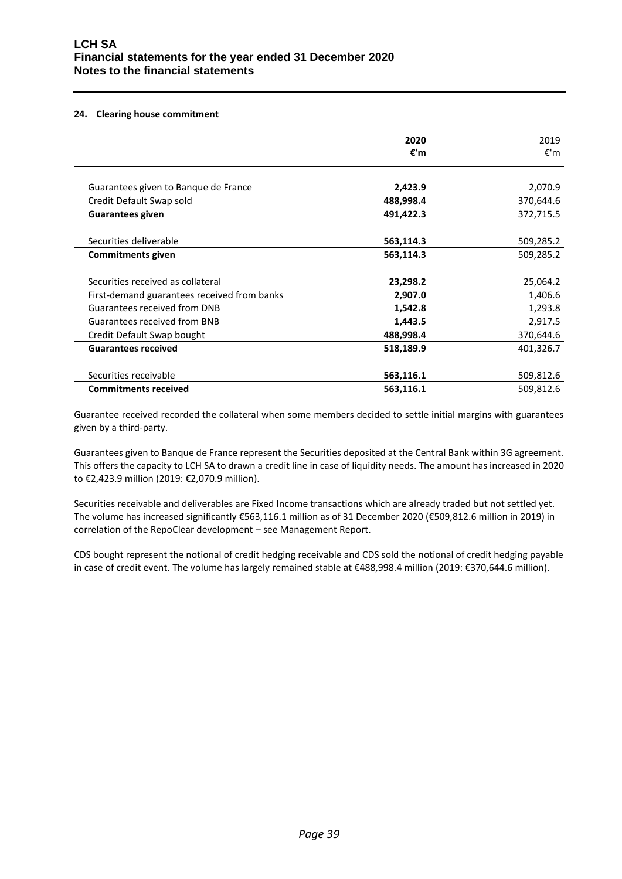#### **24. Clearing house commitment**

| 2020      | 2019      |
|-----------|-----------|
|           | €'m       |
|           |           |
| 2,423.9   | 2,070.9   |
| 488,998.4 | 370,644.6 |
| 491,422.3 | 372,715.5 |
|           |           |
| 563,114.3 | 509,285.2 |
| 563,114.3 | 509,285.2 |
|           |           |
| 23,298.2  | 25,064.2  |
| 2,907.0   | 1,406.6   |
| 1,542.8   | 1,293.8   |
| 1,443.5   | 2,917.5   |
| 488,998.4 | 370,644.6 |
| 518,189.9 | 401,326.7 |
|           |           |
| 563,116.1 | 509,812.6 |
| 563,116.1 | 509,812.6 |
|           | €'m       |

Guarantee received recorded the collateral when some members decided to settle initial margins with guarantees given by a third-party.

Guarantees given to Banque de France represent the Securities deposited at the Central Bank within 3G agreement. This offers the capacity to LCH SA to drawn a credit line in case of liquidity needs. The amount has increased in 2020 to €2,423.9 million (2019: €2,070.9 million).

Securities receivable and deliverables are Fixed Income transactions which are already traded but not settled yet. The volume has increased significantly €563,116.1 million as of 31 December 2020 (€509,812.6 million in 2019) in correlation of the RepoClear development – see Management Report.

CDS bought represent the notional of credit hedging receivable and CDS sold the notional of credit hedging payable in case of credit event. The volume has largely remained stable at €488,998.4 million (2019: €370,644.6 million).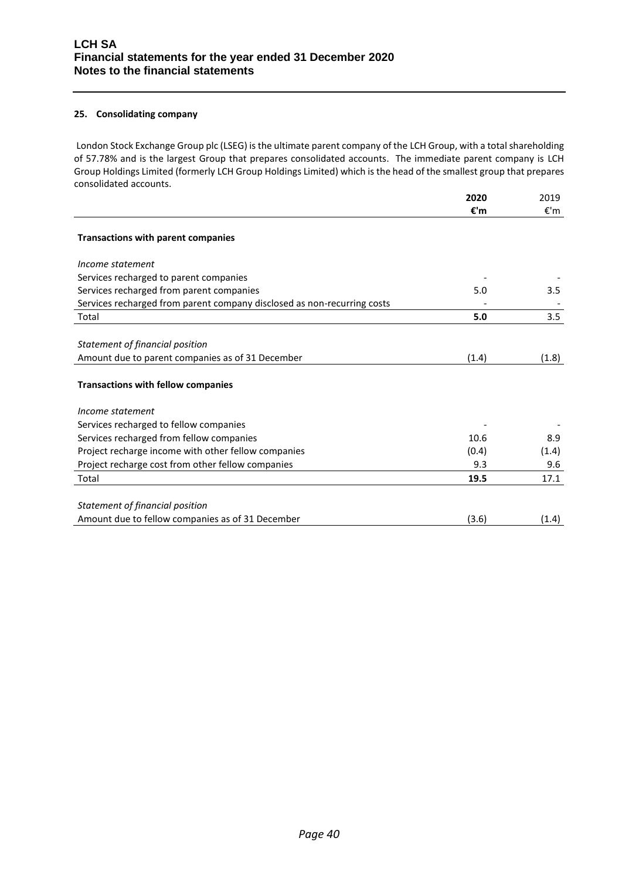## **25. Consolidating company**

London Stock Exchange Group plc (LSEG) is the ultimate parent company of the LCH Group, with a total shareholding of 57.78% and is the largest Group that prepares consolidated accounts. The immediate parent company is LCH Group Holdings Limited (formerly LCH Group Holdings Limited) which is the head of the smallest group that prepares consolidated accounts.

|                                                                         | 2020  | 2019  |
|-------------------------------------------------------------------------|-------|-------|
|                                                                         | €'m   | €'m   |
| Transactions with parent companies                                      |       |       |
|                                                                         |       |       |
| Income statement                                                        |       |       |
| Services recharged to parent companies                                  |       |       |
| Services recharged from parent companies                                | 5.0   | 3.5   |
| Services recharged from parent company disclosed as non-recurring costs |       |       |
| Total                                                                   | 5.0   | 3.5   |
|                                                                         |       |       |
| Statement of financial position                                         |       |       |
| Amount due to parent companies as of 31 December                        | (1.4) | (1.8) |
|                                                                         |       |       |
| <b>Transactions with fellow companies</b>                               |       |       |
|                                                                         |       |       |
| Income statement                                                        |       |       |
| Services recharged to fellow companies                                  |       |       |
| Services recharged from fellow companies                                | 10.6  | 8.9   |
| Project recharge income with other fellow companies                     | (0.4) | (1.4) |
| Project recharge cost from other fellow companies                       | 9.3   | 9.6   |
| Total                                                                   | 19.5  | 17.1  |
|                                                                         |       |       |
| Statement of financial position                                         |       |       |
| Amount due to fellow companies as of 31 December                        | (3.6) | (1.4) |